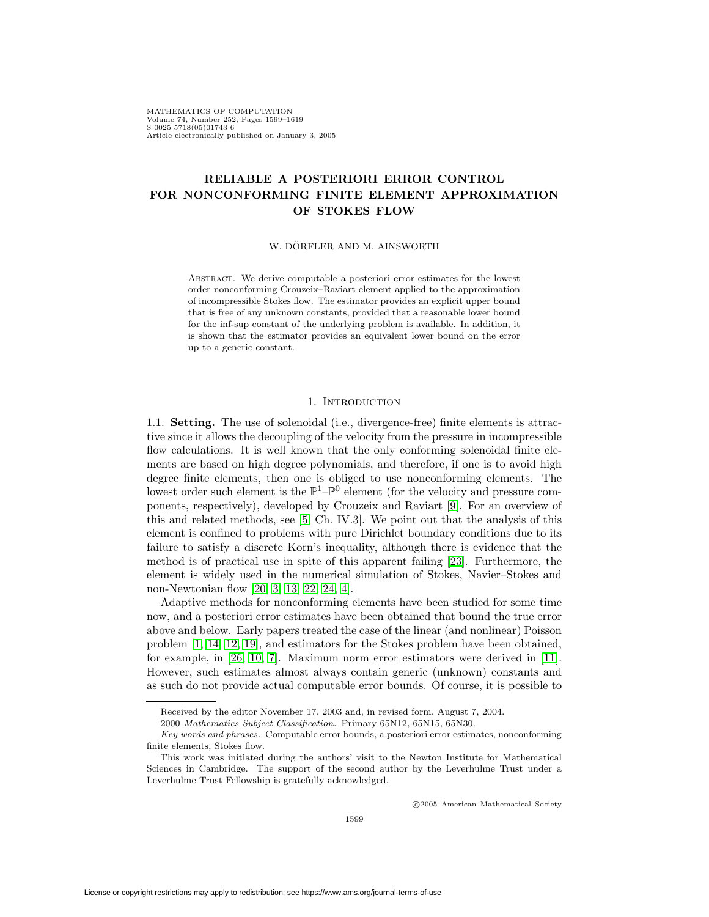MATHEMATICS OF COMPUTATION Volume 74, Number 252, Pages 1599–1619 S 0025-5718(05)01743-6 Article electronically published on January 3, 2005

# **RELIABLE A POSTERIORI ERROR CONTROL FOR NONCONFORMING FINITE ELEMENT APPROXIMATION OF STOKES FLOW**

## W. DÖRFLER AND M. AINSWORTH

Abstract. We derive computable a posteriori error estimates for the lowest order nonconforming Crouzeix–Raviart element applied to the approximation of incompressible Stokes flow. The estimator provides an explicit upper bound that is free of any unknown constants, provided that a reasonable lower bound for the inf-sup constant of the underlying problem is available. In addition, it is shown that the estimator provides an equivalent lower bound on the error up to a generic constant.

# 1. INTRODUCTION

<span id="page-0-0"></span>1.1. **Setting.** The use of solenoidal (i.e., divergence-free) finite elements is attractive since it allows the decoupling of the velocity from the pressure in incompressible flow calculations. It is well known that the only conforming solenoidal finite elements are based on high degree polynomials, and therefore, if one is to avoid high degree finite elements, then one is obliged to use nonconforming elements. The lowest order such element is the  $\mathbb{P}^1-\mathbb{P}^0$  element (for the velocity and pressure components, respectively), developed by Crouzeix and Raviart [\[9\]](#page-19-0). For an overview of this and related methods, see [\[5,](#page-19-1) Ch. IV.3]. We point out that the analysis of this element is confined to problems with pure Dirichlet boundary conditions due to its failure to satisfy a discrete Korn's inequality, although there is evidence that the method is of practical use in spite of this apparent failing [\[23\]](#page-20-0). Furthermore, the element is widely used in the numerical simulation of Stokes, Navier–Stokes and non-Newtonian flow [\[20,](#page-20-1) [3,](#page-19-2) [13,](#page-20-2) [22,](#page-20-3) [24,](#page-20-4) [4\]](#page-19-3).

Adaptive methods for nonconforming elements have been studied for some time now, and a posteriori error estimates have been obtained that bound the true error above and below. Early papers treated the case of the linear (and nonlinear) Poisson problem [\[1,](#page-19-4) [14,](#page-20-5) [12,](#page-20-6) [19\]](#page-20-7), and estimators for the Stokes problem have been obtained, for example, in [\[26,](#page-20-8) [10,](#page-20-9) [7\]](#page-19-5). Maximum norm error estimators were derived in [\[11\]](#page-20-10). However, such estimates almost always contain generic (unknown) constants and as such do not provide actual computable error bounds. Of course, it is possible to

c 2005 American Mathematical Society

Received by the editor November 17, 2003 and, in revised form, August 7, 2004.

<sup>2000</sup> Mathematics Subject Classification. Primary 65N12, 65N15, 65N30.

Key words and phrases. Computable error bounds, a posteriori error estimates, nonconforming finite elements, Stokes flow.

This work was initiated during the authors' visit to the Newton Institute for Mathematical Sciences in Cambridge. The support of the second author by the Leverhulme Trust under a Leverhulme Trust Fellowship is gratefully acknowledged.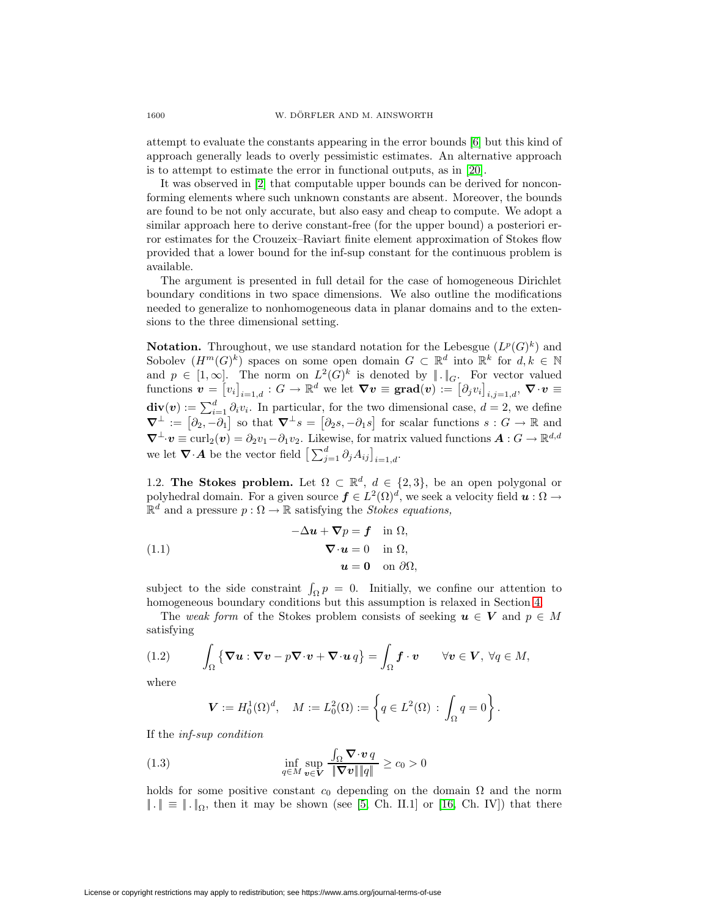attempt to evaluate the constants appearing in the error bounds [\[6\]](#page-19-6) but this kind of approach generally leads to overly pessimistic estimates. An alternative approach is to attempt to estimate the error in functional outputs, as in [\[20\]](#page-20-1).

It was observed in [\[2\]](#page-19-7) that computable upper bounds can be derived for nonconforming elements where such unknown constants are absent. Moreover, the bounds are found to be not only accurate, but also easy and cheap to compute. We adopt a similar approach here to derive constant-free (for the upper bound) a posteriori error estimates for the Crouzeix–Raviart finite element approximation of Stokes flow provided that a lower bound for the inf-sup constant for the continuous problem is available.

The argument is presented in full detail for the case of homogeneous Dirichlet boundary conditions in two space dimensions. We also outline the modifications needed to generalize to nonhomogeneous data in planar domains and to the extensions to the three dimensional setting.

**Notation.** Throughout, we use standard notation for the Lebesgue  $(L^p(G)^k)$  and Sobolev  $(H^m(G)^k)$  spaces on some open domain  $G \subset \mathbb{R}^d$  into  $\mathbb{R}^k$  for  $d, k \in \mathbb{N}$ and  $p \in [1,\infty]$ . The norm on  $L^2(G)^k$  is denoted by  $\| \cdot \|_G$ . For vector valued  $\text{functions } \dot{\boldsymbol{v}} = \left[v_i\right]_{i=1,d} : G \to \mathbb{R}^d \text{ we let } \boldsymbol{\nabla v} \equiv \textbf{grad}(\boldsymbol{v}) := \left[\partial_j v_i\right]_{i,j=1,d}, \boldsymbol{\nabla} \cdot \boldsymbol{v} \equiv \mathcal{V}$  $\mathbf{div}(\mathbf{v}) := \sum_{i=1}^d \partial_i v_i$ . In particular, for the two dimensional case,  $d = 2$ , we define  $\nabla^{\perp} := \left[\partial_2, -\partial_1\right]$  so that  $\nabla^{\perp} s = \left[\partial_2 s, -\partial_1 s\right]$  for scalar functions  $s : G \to \mathbb{R}$  and  $\nabla^{\perp} \cdot v \equiv \text{curl}_2(v) = \partial_2 v_1 - \partial_1 v_2$ . Likewise, for matrix valued functions  $\mathbf{A}: G \to \mathbb{R}^{d,d}$ we let  $\nabla \cdot \mathbf{A}$  be the vector field  $\left[\sum_{j=1}^d \partial_j A_{ij}\right]_{i=1,d}$ .

1.2. **The Stokes problem.** Let  $\Omega \subset \mathbb{R}^d$ ,  $d \in \{2,3\}$ , be an open polygonal or polyhedral domain. For a given source  $f \in L^2(\Omega)^d$ , we seek a velocity field  $u : \Omega \to$  $\mathbb{R}^d$  and a pressure  $p : \Omega \to \mathbb{R}$  satisfying the *Stokes equations*,

<span id="page-1-2"></span>(1.1) 
$$
-\Delta u + \nabla p = \mathbf{f} \quad \text{in } \Omega, \n\nabla \cdot u = 0 \quad \text{in } \Omega, \nu = 0 \quad \text{on } \partial \Omega,
$$

subject to the side constraint  $\int_{\Omega} p = 0$ . Initially, we confine our attention to homogeneous boundary conditions but this assumption is relaxed in Section [4.](#page-13-0)

The weak form of the Stokes problem consists of seeking  $u \in V$  and  $p \in M$ satisfying

<span id="page-1-0"></span>(1.2) 
$$
\int_{\Omega} \{ \nabla u : \nabla v - p \nabla \cdot v + \nabla \cdot u q \} = \int_{\Omega} \mathbf{f} \cdot v \quad \forall v \in V, \forall q \in M,
$$

where

$$
\pmb{V}:=H^1_0(\Omega)^d,\quad M:=L^2_0(\Omega):=\left\{q\in L^2(\Omega)\,:\,\int_\Omega q=0\right\}.
$$

If the inf-sup condition

<span id="page-1-1"></span>(1.3) 
$$
\inf_{q \in M} \sup_{\boldsymbol{v} \in \mathbf{V}} \frac{\int_{\Omega} \nabla \cdot \boldsymbol{v} q}{\|\nabla \boldsymbol{v}\| \|q\|} \ge c_0 > 0
$$

holds for some positive constant  $c_0$  depending on the domain  $\Omega$  and the norm  $\|\cdot\| \equiv \|\cdot\|_{\Omega}$ , then it may be shown (see [\[5,](#page-19-1) Ch. II.1] or [\[16,](#page-20-11) Ch. IV]) that there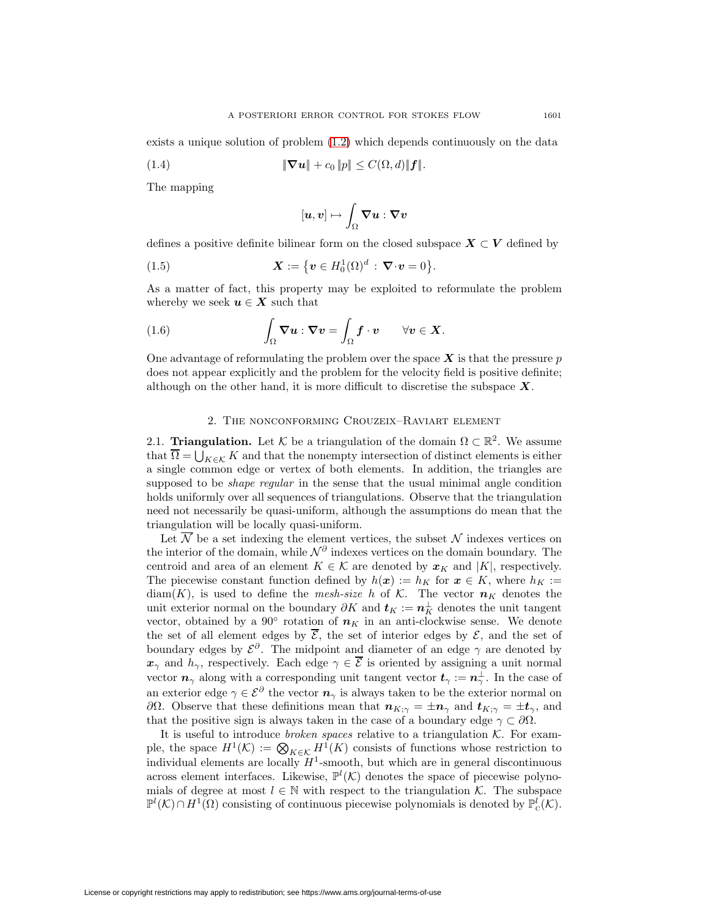exists a unique solution of problem [\(1.2\)](#page-1-0) which depends continuously on the data

(1.4) 
$$
\|\nabla u\| + c_0 \|p\| \leq C(\Omega, d) \|f\|.
$$

The mapping

$$
[\boldsymbol{u},\boldsymbol{v}]\mapsto \int_\Omega \boldsymbol{\nabla} \boldsymbol{u}:\boldsymbol{\nabla} \boldsymbol{v}
$$

defines a positive definite bilinear form on the closed subspace  $X \subset V$  defined by

<span id="page-2-0"></span>(1.5) 
$$
\mathbf{X} := \{ \mathbf{v} \in H_0^1(\Omega)^d : \nabla \cdot \mathbf{v} = 0 \}.
$$

As a matter of fact, this property may be exploited to reformulate the problem whereby we seek  $u \in X$  such that

(1.6) 
$$
\int_{\Omega} \mathbf{\nabla} \boldsymbol{u} : \mathbf{\nabla} \boldsymbol{v} = \int_{\Omega} \boldsymbol{f} \cdot \boldsymbol{v} \qquad \forall \boldsymbol{v} \in \boldsymbol{X}.
$$

One advantage of reformulating the problem over the space  $\boldsymbol{X}$  is that the pressure p does not appear explicitly and the problem for the velocity field is positive definite; although on the other hand, it is more difficult to discretise the subspace *X*.

# 2. The nonconforming Crouzeix–Raviart element

<span id="page-2-1"></span>2.1. **Triangulation.** Let K be a triangulation of the domain  $\Omega \subset \mathbb{R}^2$ . We assume that  $\overline{\Omega} = \bigcup_{K \in \mathcal{K}} K$  and that the nonempty intersection of distinct elements is either a single common edge or vertex of both elements. In addition, the triangles are supposed to be *shape regular* in the sense that the usual minimal angle condition holds uniformly over all sequences of triangulations. Observe that the triangulation need not necessarily be quasi-uniform, although the assumptions do mean that the triangulation will be locally quasi-uniform.

Let  $\overline{\mathcal{N}}$  be a set indexing the element vertices, the subset  $\mathcal N$  indexes vertices on the interior of the domain, while  $\mathcal{N}^{\partial}$  indexes vertices on the domain boundary. The centroid and area of an element  $K \in \mathcal{K}$  are denoted by  $x_K$  and  $|K|$ , respectively. The piecewise constant function defined by  $h(x) := h_K$  for  $x \in K$ , where  $h_K :=$  $diam(K)$ , is used to define the *mesh-size* h of K. The vector  $n<sub>K</sub>$  denotes the unit exterior normal on the boundary  $\partial K$  and  $t_K := n_K^{\perp}$  denotes the unit tangent vector, obtained by a 90<sup>°</sup> rotation of  $n<sub>K</sub>$  in an anti-clockwise sense. We denote the set of all element edges by  $\overline{\mathcal{E}}$ , the set of interior edges by  $\mathcal{E}$ , and the set of boundary edges by  $\mathcal{E}^{\partial}$ . The midpoint and diameter of an edge  $\gamma$  are denoted by  $x_{\gamma}$  and  $h_{\gamma}$ , respectively. Each edge  $\gamma \in \overline{\mathcal{E}}$  is oriented by assigning a unit normal vector  $n_{\gamma}$  along with a corresponding unit tangent vector  $t_{\gamma} := n_{\gamma}^{\perp}$ . In the case of an exterior edge  $\gamma \in \mathcal{E}^{\partial}$  the vector  $n_{\gamma}$  is always taken to be the exterior normal on ∂Ω. Observe that these definitions mean that  $n_{K;\gamma} = \pm n_\gamma$  and  $t_{K;\gamma} = \pm t_\gamma$ , and that the positive sign is always taken in the case of a boundary edge  $\gamma \subset \partial \Omega$ .

It is useful to introduce *broken spaces* relative to a triangulation  $K$ . For example, the space  $H^1(\mathcal{K}) := \bigotimes_{K \in \mathcal{K}} H^1(K)$  consists of functions whose restriction to individual elements are locally  $H^1$ -smooth, but which are in general discontinuous across element interfaces. Likewise,  $\mathbb{P}^l(\mathcal{K})$  denotes the space of piecewise polynomials of degree at most  $l \in \mathbb{N}$  with respect to the triangulation K. The subspace  $\mathbb{P}^l(\mathcal{K}) \cap H^1(\Omega)$  consisting of continuous piecewise polynomials is denoted by  $\mathbb{P}^l_{\mathcal{C}}(\mathcal{K})$ .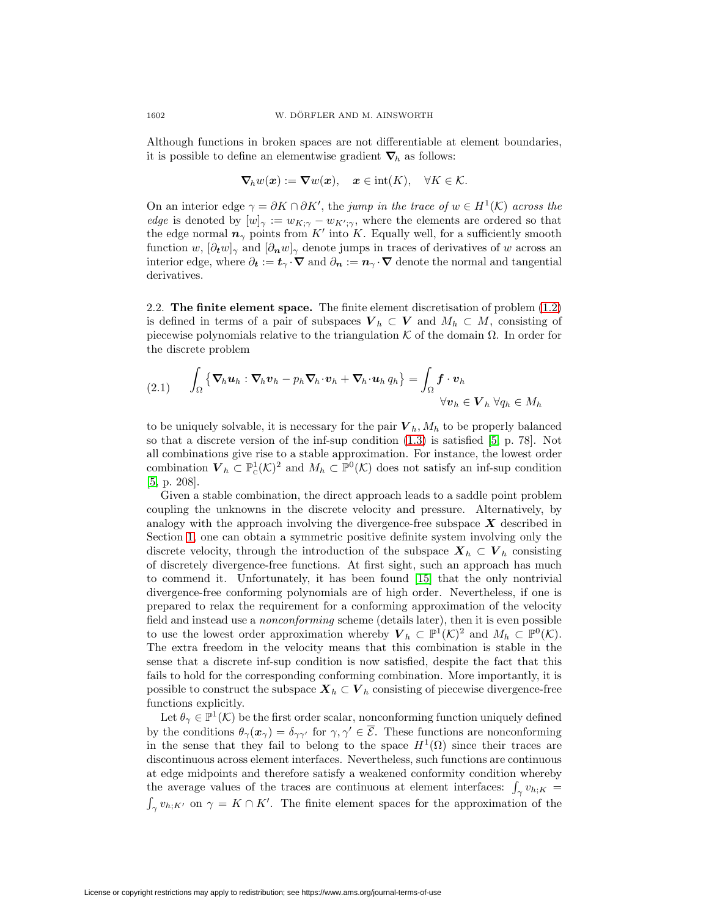Although functions in broken spaces are not differentiable at element boundaries, it is possible to define an elementwise gradient  $\nabla_h$  as follows:

$$
\nabla_h w(\boldsymbol{x}) := \boldsymbol{\nabla} w(\boldsymbol{x}), \quad \boldsymbol{x} \in \text{int}(K), \quad \forall K \in \mathcal{K}.
$$

On an interior edge  $\gamma = \partial K \cap \partial K'$ , the jump in the trace of  $w \in H^1(\mathcal{K})$  across the *edge* is denoted by  $[w]_{\gamma} := w_{K;\gamma} - w_{K';\gamma}$ , where the elements are ordered so that the edge normal  $n_{\gamma}$  points from K' into K. Equally well, for a sufficiently smooth function w,  $[\partial_t w]_\gamma$  and  $[\partial_n w]_\gamma$  denote jumps in traces of derivatives of w across an interior edge, where  $\partial_t := t_\gamma \cdot \nabla$  and  $\partial_n := n_\gamma \cdot \nabla$  denote the normal and tangential derivatives.

<span id="page-3-0"></span>2.2. **The finite element space.** The finite element discretisation of problem [\(1.2\)](#page-1-0) is defined in terms of a pair of subspaces  $V_h \subset V$  and  $M_h \subset M$ , consisting of piecewise polynomials relative to the triangulation  $K$  of the domain  $\Omega$ . In order for the discrete problem

<span id="page-3-1"></span>
$$
(2.1) \qquad \int_{\Omega} {\{\nabla_h \boldsymbol{u}_h : \nabla_h \boldsymbol{v}_h - p_h \nabla_h \cdot \boldsymbol{v}_h + \nabla_h \cdot \boldsymbol{u}_h q_h\}} = \int_{\Omega} \boldsymbol{f} \cdot \boldsymbol{v}_h
$$

$$
\forall \boldsymbol{v}_h \in \boldsymbol{V}_h \ \forall q_h \in M_h
$$

to be uniquely solvable, it is necessary for the pair  $V_h$ ,  $M_h$  to be properly balanced so that a discrete version of the inf-sup condition [\(1.3\)](#page-1-1) is satisfied [\[5,](#page-19-1) p. 78]. Not all combinations give rise to a stable approximation. For instance, the lowest order combination  $V_h \subset \mathbb{P}^1_{\mathcal{C}}(\mathcal{K})^2$  and  $M_h \subset \mathbb{P}^0(\mathcal{K})$  does not satisfy an inf-sup condition [\[5,](#page-19-1) p. 208].

Given a stable combination, the direct approach leads to a saddle point problem coupling the unknowns in the discrete velocity and pressure. Alternatively, by analogy with the approach involving the divergence-free subspace  $\boldsymbol{X}$  described in Section [1,](#page-0-0) one can obtain a symmetric positive definite system involving only the discrete velocity, through the introduction of the subspace  $X_h \subset V_h$  consisting of discretely divergence-free functions. At first sight, such an approach has much to commend it. Unfortunately, it has been found [\[15\]](#page-20-12) that the only nontrivial divergence-free conforming polynomials are of high order. Nevertheless, if one is prepared to relax the requirement for a conforming approximation of the velocity field and instead use a nonconforming scheme (details later), then it is even possible to use the lowest order approximation whereby  $V_h \subset \mathbb{P}^1(\mathcal{K})^2$  and  $M_h \subset \mathbb{P}^0(\mathcal{K})$ . The extra freedom in the velocity means that this combination is stable in the sense that a discrete inf-sup condition is now satisfied, despite the fact that this fails to hold for the corresponding conforming combination. More importantly, it is possible to construct the subspace  $\mathbf{X}_h \subset \mathbf{V}_h$  consisting of piecewise divergence-free functions explicitly.

Let  $\theta_{\gamma} \in \mathbb{P}^1(\mathcal{K})$  be the first order scalar, nonconforming function uniquely defined by the conditions  $\theta_{\gamma}(\boldsymbol{x}_{\gamma}) = \delta_{\gamma\gamma'}$  for  $\gamma, \gamma' \in \overline{\mathcal{E}}$ . These functions are nonconforming in the sense that they fail to belong to the space  $H^1(\Omega)$  since their traces are discontinuous across element interfaces. Nevertheless, such functions are continuous at edge midpoints and therefore satisfy a weakened conformity condition whereby the average values of the traces are continuous at element interfaces:  $\int_{\gamma} v_{h;K} =$  $\int_{\gamma} v_{h;K'}$  on  $\gamma = K \cap K'$ . The finite element spaces for the approximation of the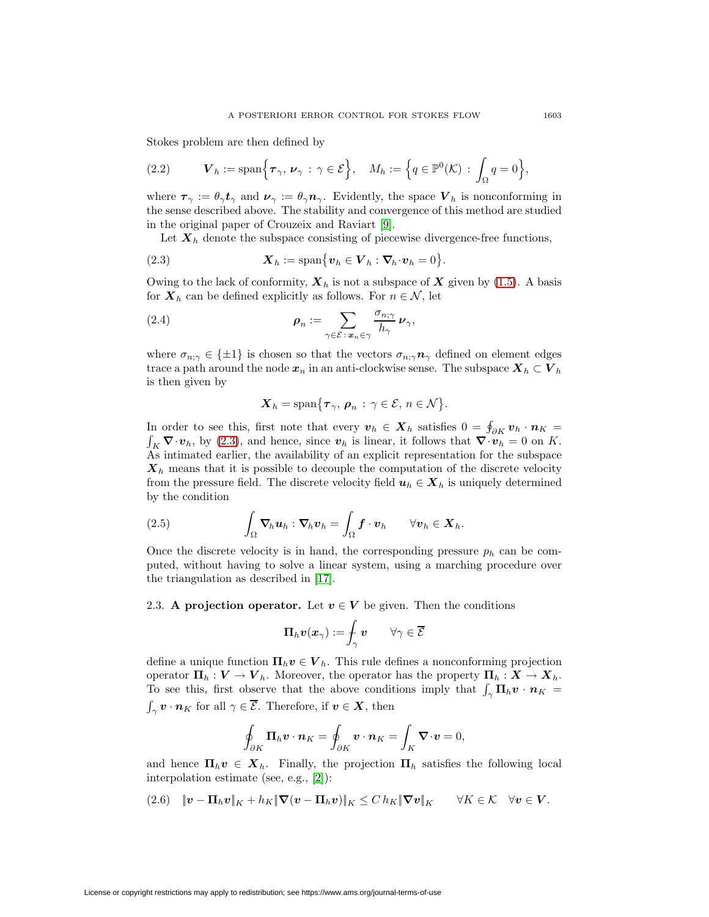Stokes problem are then defined by

<span id="page-4-3"></span>(2.2) 
$$
\mathbf{V}_h := \text{span}\Big\{\boldsymbol{\tau}_{\gamma}, \boldsymbol{\nu}_{\gamma} : \gamma \in \mathcal{E}\Big\}, \quad M_h := \Big\{q \in \mathbb{P}^0(\mathcal{K}) : \int_{\Omega} q = 0\Big\},\
$$

where  $\tau_{\gamma} := \theta_{\gamma} t_{\gamma}$  and  $\nu_{\gamma} := \theta_{\gamma} n_{\gamma}$ . Evidently, the space  $V_h$  is nonconforming in the sense described above. The stability and convergence of this method are studied in the original paper of Crouzeix and Raviart [\[9\]](#page-19-0).

Let  $\mathbf{X}_h$  denote the subspace consisting of piecewise divergence-free functions,

<span id="page-4-0"></span>(2.3) 
$$
\mathbf{X}_h := \text{span}\big\{\mathbf{v}_h \in \mathbf{V}_h : \mathbf{\nabla}_h \cdot \mathbf{v}_h = 0\big\}.
$$

Owing to the lack of conformity,  $\mathbf{X}_h$  is not a subspace of  $\mathbf{X}$  given by [\(1.5\)](#page-2-0). A basis for  $\mathbf{X}_h$  can be defined explicitly as follows. For  $n \in \mathcal{N}$ , let

<span id="page-4-4"></span>(2.4) 
$$
\rho_n := \sum_{\gamma \in \mathcal{E} : \mathbf{x}_n \in \gamma} \frac{\sigma_{n;\gamma}}{h_\gamma} \nu_\gamma,
$$

where  $\sigma_{n;\gamma} \in {\pm 1}$  is chosen so that the vectors  $\sigma_{n;\gamma} \mathbf{n}_{\gamma}$  defined on element edges trace a path around the node  $x_n$  in an anti-clockwise sense. The subspace  $X_h \subset V_h$ is then given by

$$
\mathbf{X}_h = \text{span}\big\{\boldsymbol{\tau}_{\gamma}, \, \boldsymbol{\rho}_n \, : \, \gamma \in \mathcal{E}, \, n \in \mathcal{N}\big\}.
$$

In order to see this, first note that every  $v_h \in X_h$  satisfies  $0 = \oint_{\partial K} v_h \cdot n_K =$ <br> $\int_{\Sigma} \nabla \cdot v_h$ , by (2.3), and hence, since  $v_h$  is linear, it follows that  $\nabla \cdot v_h = 0$  on K.  $\int_K \nabla \cdot v_h$ , by [\(2.3\)](#page-4-0), and hence, since  $v_h$  is linear, it follows that  $\nabla \cdot \overline{v_h} = 0$  on K. As intimated earlier, the availability of an explicit representation for the subspace *X*<sup>h</sup> means that it is possible to decouple the computation of the discrete velocity from the pressure field. The discrete velocity field  $u_h \in X_h$  is uniquely determined by the condition

(2.5) 
$$
\int_{\Omega} \mathbf{\nabla}_{h} \boldsymbol{u}_{h} : \mathbf{\nabla}_{h} \boldsymbol{v}_{h} = \int_{\Omega} \boldsymbol{f} \cdot \boldsymbol{v}_{h} \qquad \forall \boldsymbol{v}_{h} \in \boldsymbol{X}_{h}.
$$

Once the discrete velocity is in hand, the corresponding pressure  $p_h$  can be computed, without having to solve a linear system, using a marching procedure over the triangulation as described in [\[17\]](#page-20-13).

<span id="page-4-1"></span>2.3. **A projection operator.** Let  $v \in V$  be given. Then the conditions

$$
\boldsymbol{\Pi}_h \boldsymbol{v}( \boldsymbol{x}_\gamma) := \hspace{-0.1cm} \int_\gamma \boldsymbol{v} \qquad \forall \gamma \in \overline{\mathcal{E}}
$$

define a unique function  $\Pi_h v \in V_h$ . This rule defines a nonconforming projection operator  $\Pi_h: V \to V_h$ . Moreover, the operator has the property  $\Pi_h: X \to X_h$ . To see this, first observe that the above conditions imply that  $\int_{\gamma} \mathbf{\Pi}_h \mathbf{v} \cdot \mathbf{n}_K =$  $\int_{\gamma}$  *v* · *n*<sub>K</sub> for all  $\gamma \in \overline{\mathcal{E}}$ . Therefore, if *v*  $\in$  *X*, then

$$
\oint_{\partial K} \mathbf{\Pi}_h \mathbf{v} \cdot \mathbf{n}_K = \oint_{\partial K} \mathbf{v} \cdot \mathbf{n}_K = \int_K \mathbf{\nabla} \cdot \mathbf{v} = 0,
$$

and hence  $\Pi_h v \in X_h$ . Finally, the projection  $\Pi_h$  satisfies the following local interpolation estimate (see, e.g., [\[2\]](#page-19-7)):

<span id="page-4-2"></span>
$$
(2.6) \quad \Vert \boldsymbol{v} - \boldsymbol{\Pi}_h \boldsymbol{v} \Vert_K + h_K \Vert \boldsymbol{\nabla} (\boldsymbol{v} - \boldsymbol{\Pi}_h \boldsymbol{v}) \Vert_K \leq C \, h_K \Vert \boldsymbol{\nabla} \boldsymbol{v} \Vert_K \qquad \forall K \in \mathcal{K} \quad \forall \boldsymbol{v} \in \boldsymbol{V}.
$$

License or copyright restrictions may apply to redistribution; see https://www.ams.org/journal-terms-of-use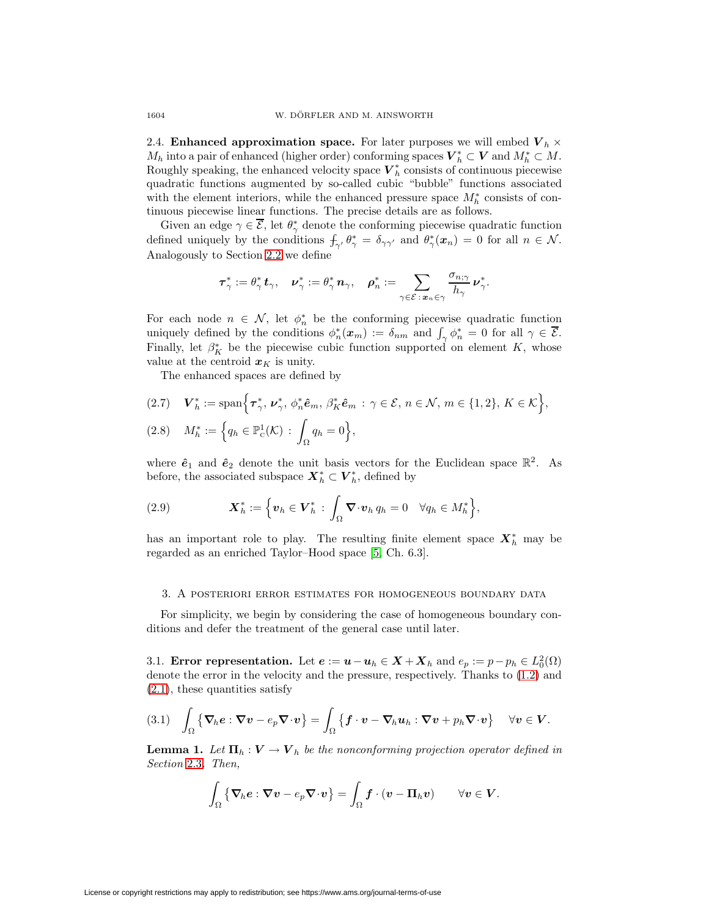<span id="page-5-2"></span>2.4. **Enhanced approximation space.** For later purposes we will embed  $V<sub>h</sub> \times$  $M_h$  into a pair of enhanced (higher order) conforming spaces  $V_h^* \subset V$  and  $M_h^* \subset M$ . Roughly speaking, the enhanced velocity space  $\boldsymbol{V}_h^*$  consists of continuous piecewise quadratic functions augmented by so-called cubic "bubble" functions associated with the element interiors, while the enhanced pressure space  $M_h^*$  consists of continuous piecewise linear functions. The precise details are as follows.

Given an edge  $\gamma \in \overline{\mathcal{E}}$ , let  $\theta^*_{\gamma}$  denote the conforming piecewise quadratic function defined uniquely by the conditions  $f_{\gamma'} \theta_{\gamma}^* = \delta_{\gamma \gamma'}$  and  $\theta_{\gamma}^* (\boldsymbol{x}_n) = 0$  for all  $n \in \mathcal{N}$ . Analogously to Section [2.2](#page-3-0) we define

$$
\boldsymbol{\tau}^*_\gamma:=\theta^*_\gamma\,\boldsymbol{t}_\gamma,\quad \boldsymbol{\nu}^*_\gamma:=\theta^*_\gamma\,\boldsymbol{n}_\gamma,\quad \boldsymbol{\rho}^*_n:=\sum_{\gamma\in\mathcal{E}\,:\,\boldsymbol{x}_n\in\gamma}\frac{\sigma_{n;\gamma}}{h_\gamma}\,\boldsymbol{\nu}^*_\gamma.
$$

For each node  $n \in \mathcal{N}$ , let  $\phi_n^*$  be the conforming piecewise quadratic function uniquely defined by the conditions  $\phi_n^*(x_m) := \delta_{nm}$  and  $\int_{\gamma} \phi_n^* = 0$  for all  $\gamma \in \overline{\mathcal{E}}$ . Finally, let  $\beta_K^*$  be the piecewise cubic function supported on element K, whose value at the centroid  $x<sub>K</sub>$  is unity.

The enhanced spaces are defined by

$$
(2.7) \quad \boldsymbol{V}_h^* := \text{span}\Big\{\boldsymbol{\tau}_\gamma^*, \, \boldsymbol{\nu}_\gamma^*, \, \phi_n^* \hat{\boldsymbol{e}}_m, \, \beta_K^* \hat{\boldsymbol{e}}_m \, : \, \gamma \in \mathcal{E}, \, n \in \mathcal{N}, \, m \in \{1, 2\}, \, K \in \mathcal{K}\Big\},\
$$

$$
(2.8) \quad M_h^* := \left\{ q_h \in \mathbb{P}^1_{\mathcal{C}}(\mathcal{K}) \, : \, \int_{\Omega} q_h = 0 \right\},
$$

where  $\hat{\mathbf{e}}_1$  and  $\hat{\mathbf{e}}_2$  denote the unit basis vectors for the Euclidean space  $\mathbb{R}^2$ . As before, the associated subspace  $\boldsymbol{X}_h^* \subset \boldsymbol{V}_h^*$ , defined by

<span id="page-5-3"></span>(2.9) 
$$
\mathbf{X}_h^* := \left\{ \mathbf{v}_h \in \mathbf{V}_h^* \, : \, \int_{\Omega} \mathbf{\nabla} \cdot \mathbf{v}_h \, q_h = 0 \quad \forall q_h \in M_h^* \right\},
$$

has an important role to play. The resulting finite element space  $\mathbf{X}_h^*$  may be regarded as an enriched Taylor–Hood space [\[5,](#page-19-1) Ch. 6.3].

### 3. A posteriori error estimates for homogeneous boundary data

For simplicity, we begin by considering the case of homogeneous boundary conditions and defer the treatment of the general case until later.

3.1. **Error representation.** Let  $e := u - u_h \in X + X_h$  and  $e_p := p - p_h \in L_0^2(\Omega)$ denote the error in the velocity and the pressure, respectively. Thanks to [\(1.2\)](#page-1-0) and [\(2.1\)](#page-3-1), these quantities satisfy

<span id="page-5-0"></span>
$$
(3.1) \quad \int_{\Omega} \left\{ \nabla_h e : \nabla v - e_p \nabla \cdot v \right\} = \int_{\Omega} \left\{ f \cdot v - \nabla_h u_h : \nabla v + p_h \nabla \cdot v \right\} \quad \forall v \in V.
$$

<span id="page-5-1"></span>**Lemma 1.** Let  $\Pi_h: V \to V_h$  be the nonconforming projection operator defined in Section [2.3](#page-4-1). Then,

$$
\int_{\Omega} \left\{ \nabla_h \boldsymbol{e} : \nabla \boldsymbol{v} - e_p \nabla \cdot \boldsymbol{v} \right\} = \int_{\Omega} \boldsymbol{f} \cdot (\boldsymbol{v} - \boldsymbol{\Pi}_h \boldsymbol{v}) \qquad \forall \boldsymbol{v} \in \boldsymbol{V}.
$$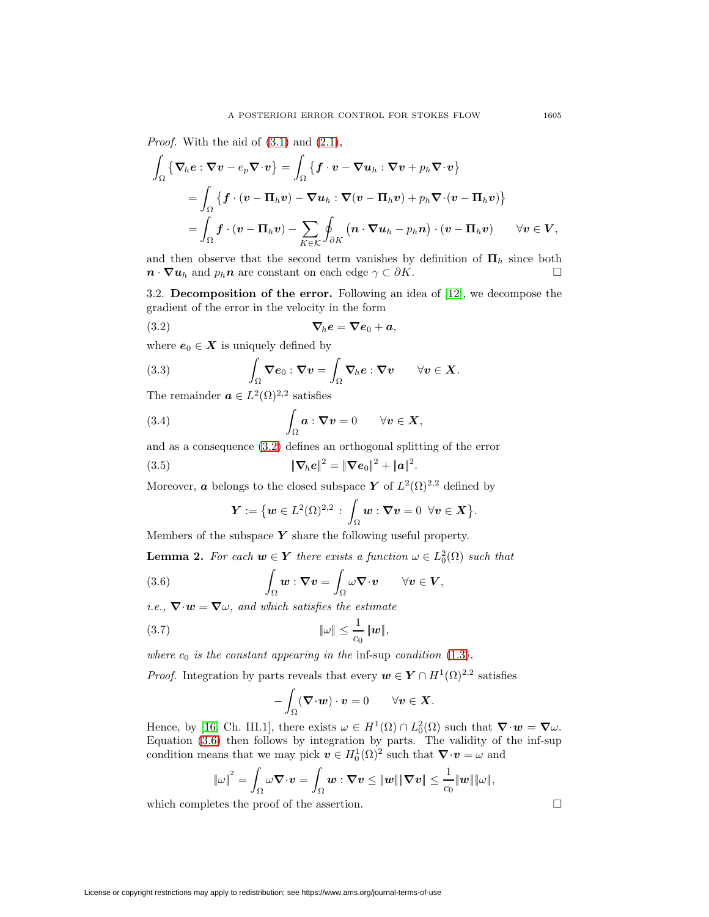*Proof.* With the aid of  $(3.1)$  and  $(2.1)$ ,

$$
\int_{\Omega} \left\{ \nabla_h e : \nabla v - e_p \nabla \cdot v \right\} = \int_{\Omega} \left\{ f \cdot v - \nabla u_h : \nabla v + p_h \nabla \cdot v \right\}
$$
\n
$$
= \int_{\Omega} \left\{ f \cdot (v - \Pi_h v) - \nabla u_h : \nabla (v - \Pi_h v) + p_h \nabla \cdot (v - \Pi_h v) \right\}
$$
\n
$$
= \int_{\Omega} f \cdot (v - \Pi_h v) - \sum_{K \in \mathcal{K}} \oint_{\partial K} \left( n \cdot \nabla u_h - p_h n \right) \cdot (v - \Pi_h v) \qquad \forall v \in V,
$$

and then observe that the second term vanishes by definition of  $\Pi_h$  since both  $\boldsymbol{n} \cdot \nabla u_h$  and  $p_h \boldsymbol{n}$  are constant on each edge  $\gamma \subset \partial K$ .

3.2. **Decomposition of the error.** Following an idea of [\[12\]](#page-20-6), we decompose the gradient of the error in the velocity in the form

<span id="page-6-0"></span>
$$
\nabla_h e = \nabla e_0 + a,
$$

where  $e_0 \in X$  is uniquely defined by

<span id="page-6-3"></span>(3.3) 
$$
\int_{\Omega} \mathbf{\nabla} \mathbf{e}_0 : \mathbf{\nabla} \mathbf{v} = \int_{\Omega} \mathbf{\nabla}_h \mathbf{e} : \mathbf{\nabla} \mathbf{v} \qquad \forall \mathbf{v} \in \mathbf{X}.
$$

The remainder  $\boldsymbol{a} \in L^2(\Omega)^{2,2}$  satisfies

<span id="page-6-4"></span>(3.4) 
$$
\int_{\Omega} \boldsymbol{a} : \boldsymbol{\nabla} \boldsymbol{v} = 0 \qquad \forall \boldsymbol{v} \in \boldsymbol{X},
$$

and as a consequence [\(3.2\)](#page-6-0) defines an orthogonal splitting of the error

<span id="page-6-2"></span>(3.5) 
$$
\|\nabla_h e\|^2 = \|\nabla e_0\|^2 + \|a\|^2.
$$

Moreover, *a* belongs to the closed subspace *Y* of  $L^2(\Omega)^{2,2}$  defined by

$$
\boldsymbol{Y}:=\big\{\boldsymbol{w}\in L^2(\Omega)^{2,2}\,:\,\int_\Omega\boldsymbol{w}:\boldsymbol{\nabla}\boldsymbol{v}=0\ \, \forall \boldsymbol{v}\in\boldsymbol{X}\big\}.
$$

<span id="page-6-5"></span>Members of the subspace *Y* share the following useful property.

**Lemma 2.** For each  $w \in Y$  there exists a function  $\omega \in L_0^2(\Omega)$  such that

<span id="page-6-1"></span>(3.6) 
$$
\int_{\Omega} \boldsymbol{w} : \boldsymbol{\nabla} \boldsymbol{v} = \int_{\Omega} \omega \boldsymbol{\nabla} \cdot \boldsymbol{v} \qquad \forall \boldsymbol{v} \in \boldsymbol{V},
$$

i.e.,  $\nabla \cdot \mathbf{w} = \nabla \omega$ , and which satisfies the estimate

$$
\|\omega\| \leq \frac{1}{c_0} \|\mathbf{w}\|,
$$

where  $c_0$  is the constant appearing in the inf-sup condition [\(1.3\)](#page-1-1).

*Proof.* Integration by parts reveals that every  $w \in Y \cap H^1(\Omega)^{2,2}$  satisfies

$$
-\int_{\Omega} (\mathbf{\nabla} \cdot \mathbf{w}) \cdot \mathbf{v} = 0 \qquad \forall \mathbf{v} \in \mathbf{X}.
$$

Hence, by [\[16,](#page-20-11) Ch. III.1], there exists  $\omega \in H^1(\Omega) \cap L_0^2(\Omega)$  such that  $\nabla \cdot \mathbf{w} = \nabla \omega$ . Equation [\(3.6\)](#page-6-1) then follows by integration by parts. The validity of the inf-sup condition means that we may pick  $v \in H_0^1(\Omega)^2$  such that  $\nabla \cdot v = \omega$  and

$$
\left\|\omega\right\|^2=\int_\Omega\omega\boldsymbol{\nabla}\!\cdot\!\boldsymbol{v}=\int_\Omega\boldsymbol{w}:\boldsymbol{\nabla}\boldsymbol{v}\leq\|\boldsymbol{w}\|\|\boldsymbol{\nabla}\boldsymbol{v}\|\leq\frac{1}{c_0}\|\boldsymbol{w}\|\|\omega\|,
$$

which completes the proof of the assertion.  $\Box$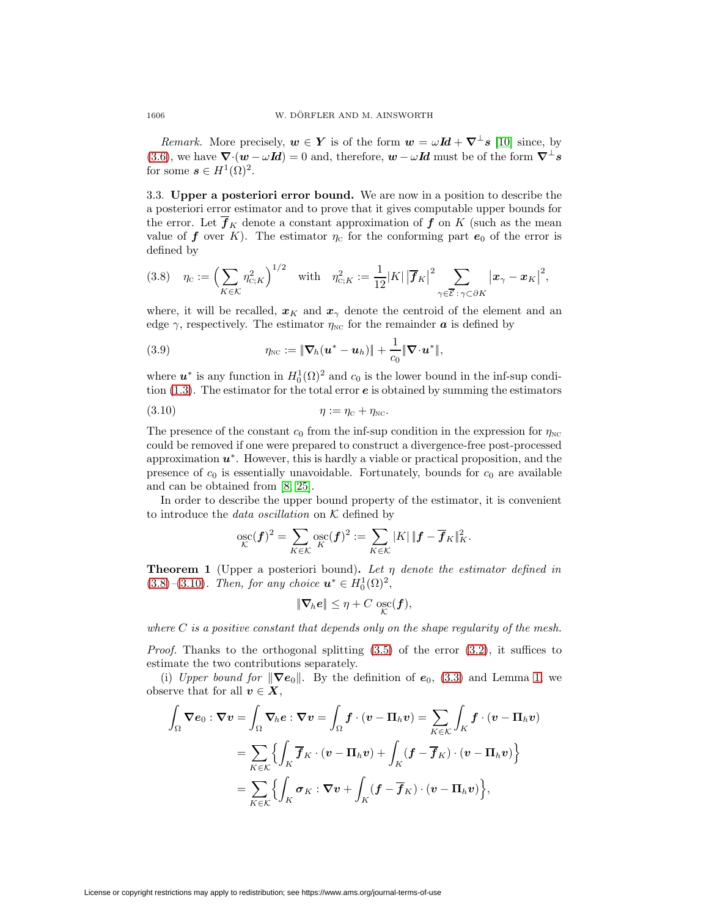*Remark.* More precisely,  $w \in Y$  is of the form  $w = \omega \mathbf{Id} + \nabla^{\perp} s$  [\[10\]](#page-20-9) since, by [\(3.6\)](#page-6-1), we have  $\nabla \cdot (\mathbf{w} - \omega \mathbf{I} \mathbf{d}) = 0$  and, therefore,  $\mathbf{w} - \omega \mathbf{I} \mathbf{d}$  must be of the form  $\nabla^{\perp} s$ for some  $s \in H^1(\Omega)^2$ .

<span id="page-7-4"></span>3.3. **Upper a posteriori error bound.** We are now in a position to describe the a posteriori error estimator and to prove that it gives computable upper bounds for the error. Let  $f_K$  denote a constant approximation of  $f$  on  $K$  (such as the mean value of **f** over K). The estimator  $\eta_c$  for the conforming part  $e_0$  of the error is defined by

<span id="page-7-0"></span>
$$
(3.8) \quad \eta_{\scriptscriptstyle\rm C} := \left(\sum_{K\in\mathcal{K}}\eta_{\scriptscriptstyle\rm C;K}^2\right)^{1/2} \quad \text{with} \quad \eta_{\scriptscriptstyle\rm C;K}^2 := \frac{1}{12}|K|\left|\overline{f}_K\right|^2 \sum_{\gamma\in\overline{\mathcal{E}}:\gamma\subset\partial K}\left|x_{\gamma}-x_K\right|^2,
$$

where, it will be recalled,  $x_K$  and  $x_\gamma$  denote the centroid of the element and an edge  $\gamma$ , respectively. The estimator  $\eta_{\text{NC}}$  for the remainder **a** is defined by

<span id="page-7-2"></span>(3.9) 
$$
\eta_{\text{NC}} := \|\boldsymbol{\nabla}_h(\boldsymbol{u}^* - \boldsymbol{u}_h)\| + \frac{1}{c_0}\|\boldsymbol{\nabla}\cdot\boldsymbol{u}^*\|,
$$

where  $u^*$  is any function in  $H_0^1(\Omega)^2$  and  $c_0$  is the lower bound in the inf-sup condition [\(1.3\)](#page-1-1). The estimator for the total error *e* is obtained by summing the estimators

<span id="page-7-1"></span>
$$
(3.10) \t\t \eta := \eta_{\rm C} + \eta_{\rm NC}.
$$

The presence of the constant  $c_0$  from the inf-sup condition in the expression for  $\eta_{\text{NC}}$ could be removed if one were prepared to construct a divergence-free post-processed approximation *u*∗. However, this is hardly a viable or practical proposition, and the presence of  $c_0$  is essentially unavoidable. Fortunately, bounds for  $c_0$  are available and can be obtained from [\[8,](#page-19-8) [25\]](#page-20-14).

In order to describe the upper bound property of the estimator, it is convenient to introduce the *data oscillation* on  $K$  defined by

$$
\operatorname*{osc}_{\mathcal{K}}(\boldsymbol{f})^2 = \sum_{K \in \mathcal{K}} \operatorname*{osc}_{\mathcal{K}}(\boldsymbol{f})^2 := \sum_{K \in \mathcal{K}} |K| \|\boldsymbol{f} - \overline{\boldsymbol{f}}_K\|_K^2.
$$

<span id="page-7-3"></span>**Theorem 1** (Upper a posteriori bound)**.** Let η denote the estimator defined in  $(3.8)$ – $(3.10)$ . Then, for any choice  $u^* \in H_0^1(\Omega)^2$ ,

$$
\|\boldsymbol{\nabla}_{\!h}\boldsymbol{e}\| \leq \eta + C \,\operatorname*{osc}_{\mathcal{K}}(\boldsymbol{f}),
$$

where  $C$  is a positive constant that depends only on the shape regularity of the mesh.

*Proof.* Thanks to the orthogonal splitting  $(3.5)$  of the error  $(3.2)$ , it suffices to estimate the two contributions separately.

(i) Upper bound for  $\|\nabla e_0\|$ . By the definition of  $e_0$ , [\(3.3\)](#page-6-3) and Lemma [1,](#page-5-1) we observe that for all  $v \in X$ ,

$$
\int_{\Omega} \nabla e_0 : \nabla v = \int_{\Omega} \nabla_h e : \nabla v = \int_{\Omega} f \cdot (v - \Pi_h v) = \sum_{K \in \mathcal{K}} \int_K f \cdot (v - \Pi_h v)
$$

$$
= \sum_{K \in \mathcal{K}} \left\{ \int_K \overline{f}_K \cdot (v - \Pi_h v) + \int_K (f - \overline{f}_K) \cdot (v - \Pi_h v) \right\}
$$

$$
= \sum_{K \in \mathcal{K}} \left\{ \int_K \sigma_K : \nabla v + \int_K (f - \overline{f}_K) \cdot (v - \Pi_h v) \right\},
$$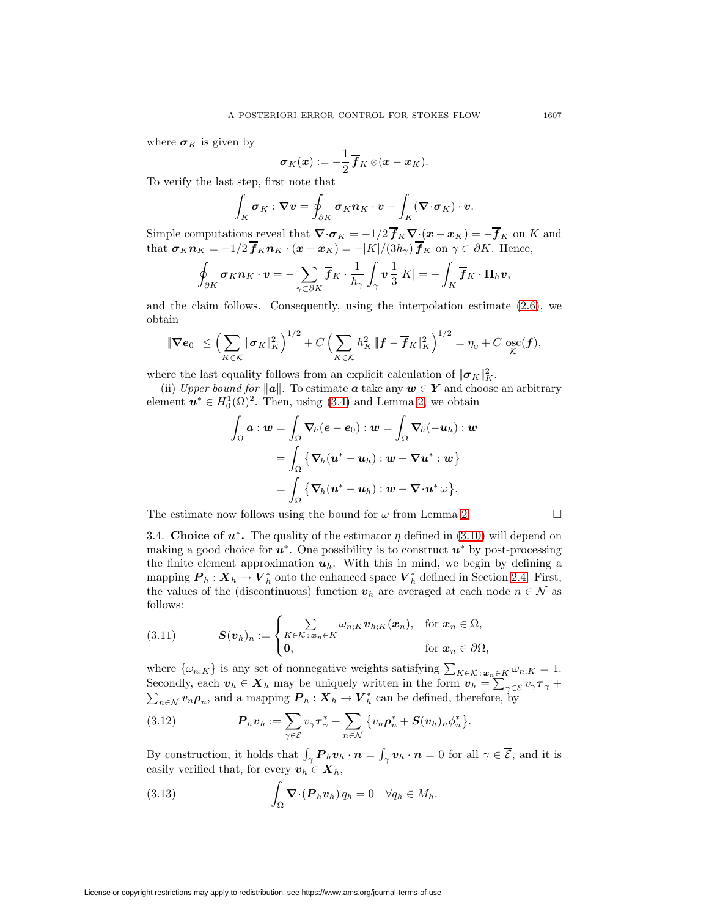where  $\sigma_K$  is given by

$$
\boldsymbol{\sigma}_K(\boldsymbol{x}):=-\frac{1}{2}\,\overline{\boldsymbol{f}}_K\otimes(\boldsymbol{x}-\boldsymbol{x}_K).
$$

To verify the last step, first note that

$$
\int_K \boldsymbol{\sigma}_K : \boldsymbol{\nabla} \boldsymbol{v} = \oint_{\partial K} \boldsymbol{\sigma}_K \boldsymbol{n}_K \cdot \boldsymbol{v} - \int_K (\boldsymbol{\nabla} \cdot \boldsymbol{\sigma}_K) \cdot \boldsymbol{v}.
$$

Simple computations reveal that  $\nabla \cdot \sigma_K = -1/2 f_K \nabla \cdot (x - x_K) = -f_K$  on K and that  $\sigma_K n_K = -1/2 f_K n_K \cdot (\boldsymbol{x} - \boldsymbol{x}_K) = -|K|/(3h_\gamma) f_K$  on  $\gamma \subset \partial K$ . Hence,

$$
\oint_{\partial K} \boldsymbol{\sigma}_K \boldsymbol{n}_K \cdot \boldsymbol{v} = -\sum_{\gamma \subset \partial K} \overline{\boldsymbol{f}}_K \cdot \frac{1}{h_\gamma} \int_{\gamma} \boldsymbol{v} \frac{1}{3} |K| = -\int_{K} \overline{\boldsymbol{f}}_K \cdot \boldsymbol{\Pi}_h \boldsymbol{v},
$$

and the claim follows. Consequently, using the interpolation estimate  $(2.6)$ , we obtain

$$
\|\boldsymbol{\nabla} \boldsymbol{e}_0\| \leq \left(\sum_{K \in \mathcal{K}} \|\boldsymbol{\sigma}_K\|_K^2\right)^{1/2} + C \left(\sum_{K \in \mathcal{K}} h_K^2 \|\boldsymbol{f} - \boldsymbol{\overline{f}}_K\|_K^2\right)^{1/2} = \eta_{\rm c} + C \operatorname*{osc}_{\mathcal{K}}(\boldsymbol{f}),
$$

where the last equality follows from an explicit calculation of  $||\boldsymbol{\sigma}_K||_K^2$ .

(ii) Upper bound for  $||a||$ . To estimate **a** take any  $w \in Y$  and choose an arbitrary element  $u^* \in H_0^1(\Omega)^2$ . Then, using [\(3.4\)](#page-6-4) and Lemma [2,](#page-6-5) we obtain

$$
\begin{aligned} \int_{\Omega}\bm{a}:\bm{w} &= \int_{\Omega}\bm{\nabla}_{\!h}(\bm{e}-\bm{e}_0):\bm{w}=\int_{\Omega}\bm{\nabla}_{\!h}(-\bm{u}_h):\bm{w} \\ &= \int_{\Omega}\left\{\bm{\nabla}_{\!h}(\bm{u}^*-\bm{u}_h):\bm{w}-\bm{\nabla}\bm{u}^*:\bm{w}\right\} \\ &= \int_{\Omega}\left\{\bm{\nabla}_{\!h}(\bm{u}^*-\bm{u}_h):\bm{w}-\bm{\nabla}\!\cdot\!\bm{u}^*\,\omega\right\}\!. \end{aligned}
$$

<span id="page-8-0"></span>The estimate now follows using the bound for  $\omega$  from Lemma [2.](#page-6-5)

3.4. **Choice of**  $u^*$ **.** The quality of the estimator  $\eta$  defined in [\(3.10\)](#page-7-1) will depend on making a good choice for *u*∗. One possibility is to construct *u*<sup>∗</sup> by post-processing the finite element approximation  $u_h$ . With this in mind, we begin by defining a mapping  $P_h: X_h \to V_h^*$  onto the enhanced space  $V_h^*$  defined in Section [2.4.](#page-5-2) First, the values of the (discontinuous) function  $v_h$  are averaged at each node  $n \in \mathcal{N}$  as follows:

<span id="page-8-1"></span>(3.11) 
$$
\mathbf{S}(\mathbf{v}_h)_n := \begin{cases} \sum_{K \in \mathcal{K} : \mathbf{x}_n \in K} \omega_{n;K} \mathbf{v}_{h;K}(\mathbf{x}_n), & \text{for } \mathbf{x}_n \in \Omega, \\ \mathbf{0}, & \text{for } \mathbf{x}_n \in \partial\Omega, \end{cases}
$$

where  $\{\omega_{n,K}\}\$ is any set of nonnegative weights satisfying  $\sum_{K \in \mathcal{K}} \sum_{x_n \in K} \omega_{n,K} = 1$ . Secondly, each  $v_h \in X_h$  may be uniquely written in the form  $v_h = \sum_{\gamma \in \mathcal{E}} v_{\gamma} \tau_{\gamma} +$  $\sum_{n\in\mathcal{N}} v_n \rho_n$ , and a mapping  $P_h: X_h \to V_h^*$  can be defined, therefore, by

(3.12) 
$$
\boldsymbol{P}_h \boldsymbol{v}_h := \sum_{\gamma \in \mathcal{E}} v_{\gamma} \boldsymbol{\tau}_{\gamma}^* + \sum_{n \in \mathcal{N}} \{ v_n \boldsymbol{\rho}_n^* + \boldsymbol{S}(\boldsymbol{v}_h)_n \phi_n^* \}.
$$

By construction, it holds that  $\int_{\gamma} P_h v_h \cdot n = \int_{\gamma} v_h \cdot n = 0$  for all  $\gamma \in \overline{\mathcal{E}}$ , and it is easily verified that, for every  $v_h \in X_h$ ,

<span id="page-8-2"></span>(3.13) 
$$
\int_{\Omega} \mathbf{\nabla} \cdot (\boldsymbol{P}_h \boldsymbol{v}_h) q_h = 0 \quad \forall q_h \in M_h.
$$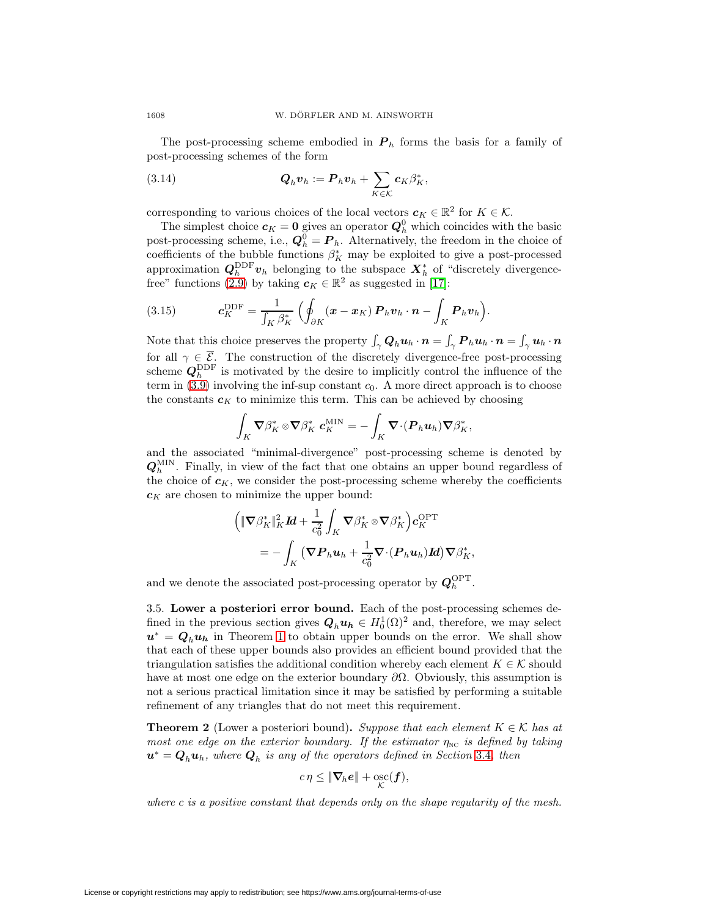The post-processing scheme embodied in  $P_h$  forms the basis for a family of post-processing schemes of the form

(3.14) 
$$
\mathbf{Q}_h \mathbf{v}_h := \mathbf{P}_h \mathbf{v}_h + \sum_{K \in \mathcal{K}} \mathbf{c}_K \beta_K^*,
$$

corresponding to various choices of the local vectors  $c_K \in \mathbb{R}^2$  for  $K \in \mathcal{K}$ .

The simplest choice  $c_K = 0$  gives an operator  $Q_h^0$  which coincides with the basic post-processing scheme, i.e.,  $\mathbf{Q}_h^0 = \mathbf{P}_h$ . Alternatively, the freedom in the choice of coefficients of the bubble functions  $\beta_K^*$  may be exploited to give a post-processed approximation  $Q_h^{\text{DDF}} v_h$  belonging to the subspace  $X_h^*$  of "discretely divergence-free" functions [\(2.9\)](#page-5-3) by taking  $c_K \in \mathbb{R}^2$  as suggested in [\[17\]](#page-20-13):

(3.15) 
$$
\mathbf{c}_K^{\text{DDF}} = \frac{1}{\int_K \beta_K^*} \left( \oint_{\partial K} (\mathbf{x} - \mathbf{x}_K) \, \mathbf{P}_h \mathbf{v}_h \cdot \mathbf{n} - \int_K \mathbf{P}_h \mathbf{v}_h \right).
$$

Note that this choice preserves the property  $\int_{\gamma} Q_h u_h \cdot n = \int_{\gamma} P_h u_h \cdot n = \int_{\gamma} u_h \cdot n$ for all  $\gamma \in \mathcal{E}$ . The construction of the discretely divergence-free post-processing scheme  $Q_h^{\text{DDF}}$  is motivated by the desire to implicitly control the influence of the term in  $(3.9)$  involving the inf-sup constant  $c_0$ . A more direct approach is to choose the constants  $c_K$  to minimize this term. This can be achieved by choosing

$$
\int_K \boldsymbol{\nabla}\beta_K^* \otimes \boldsymbol{\nabla}\beta_K^* \; \boldsymbol{c}_K^{\text{MIN}} = - \int_K \boldsymbol{\nabla}\!\cdot\! (\boldsymbol{P}_h \boldsymbol{u}_h) \boldsymbol{\nabla}\beta_K^*,
$$

and the associated "minimal-divergence" post-processing scheme is denoted by  $Q_h^{\text{MIN}}$ . Finally, in view of the fact that one obtains an upper bound regardless of the choice of  $c_K$ , we consider the post-processing scheme whereby the coefficients  $c_K$  are chosen to minimize the upper bound:

$$
\begin{aligned}\n\left( \|\nabla \beta_K^*\|_K^2 \mathbf{Id} + \frac{1}{c_0^2} \int_K \nabla \beta_K^* \otimes \nabla \beta_K^* \right) & c_K^{\mathrm{OPT}} \\
&= - \int_K \left( \nabla \mathbf{P}_h \mathbf{u}_h + \frac{1}{c_0^2} \nabla \cdot (\mathbf{P}_h \mathbf{u}_h) \mathbf{Id} \right) & \nabla \beta_K^*,\n\end{aligned}
$$

and we denote the associated post-processing operator by  $Q_h^{\text{OPT}}$ .

3.5. **Lower a posteriori error bound.** Each of the post-processing schemes defined in the previous section gives  $Q_h u_h \in H_0^1(\Omega)^2$  and, therefore, we may select  $u^* = Q_h u_h$  in Theorem [1](#page-7-3) to obtain upper bounds on the error. We shall show that each of these upper bounds also provides an efficient bound provided that the triangulation satisfies the additional condition whereby each element  $K \in \mathcal{K}$  should have at most one edge on the exterior boundary  $\partial\Omega$ . Obviously, this assumption is not a serious practical limitation since it may be satisfied by performing a suitable refinement of any triangles that do not meet this requirement.

<span id="page-9-0"></span>**Theorem 2** (Lower a posteriori bound)**.** Suppose that each element  $K \in \mathcal{K}$  has at most one edge on the exterior boundary. If the estimator  $\eta_{NC}$  is defined by taking  $u^* = Q_h u_h$ , where  $Q_h$  is any of the operators defined in Section [3.4](#page-8-0), then

$$
c\eta \leq \|\nabla_h e\| + \mathop{\rm osc}_{\mathcal{K}}(f),
$$

where c is a positive constant that depends only on the shape regularity of the mesh.

License or copyright restrictions may apply to redistribution; see https://www.ams.org/journal-terms-of-use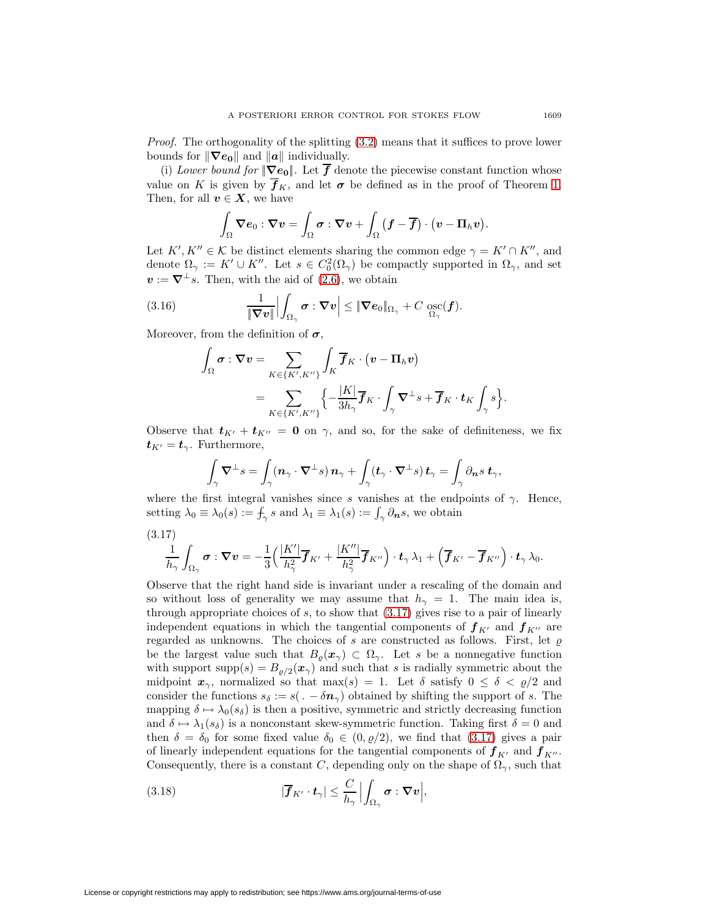Proof. The orthogonality of the splitting [\(3.2\)](#page-6-0) means that it suffices to prove lower bounds for  $\|\nabla e_0\|$  and  $\|a\|$  individually.

(i) Lower bound for  $\|\nabla e_0\|$ . Let  $\overline{f}$  denote the piecewise constant function whose value on K is given by  $\overline{f}_K$ , and let  $\sigma$  be defined as in the proof of Theorem [1.](#page-7-3) Then, for all  $v \in X$ , we have

$$
\int_{\Omega} \boldsymbol{\nabla} \boldsymbol{e}_0 : \boldsymbol{\nabla} \boldsymbol{v} = \int_{\Omega} \boldsymbol{\sigma} : \boldsymbol{\nabla} \boldsymbol{v} + \int_{\Omega} \big(\boldsymbol{f} - \overline{\boldsymbol{f}}\big) \cdot \big(\boldsymbol{v} - \Pi_h \boldsymbol{v}\big).
$$

Let  $K', K'' \in \mathcal{K}$  be distinct elements sharing the common edge  $\gamma = K' \cap K''$ , and denote  $\Omega_{\gamma} := K' \cup K''$ . Let  $s \in C_0^2(\Omega_{\gamma})$  be compactly supported in  $\Omega_{\gamma}$ , and set  $v := \nabla^{\perp} s$ . Then, with the aid of [\(2.6\)](#page-4-2), we obtain

<span id="page-10-1"></span>(3.16) 
$$
\frac{1}{\|\nabla v\|}\Big|\int_{\Omega_{\gamma}} \sigma : \nabla v\Big| \leq \|\nabla e_0\|_{\Omega_{\gamma}} + C \operatorname*{osc}_{\Omega_{\gamma}}(f).
$$

Moreover, from the definition of  $\sigma$ ,

$$
\begin{aligned} \int_{\Omega}\boldsymbol{\sigma}:\boldsymbol{\nabla v} & =\sum_{K\in\{K',K''\}}\int_{K}\overline{\boldsymbol{f}}_{K}\cdot\left(\boldsymbol{v}-\boldsymbol{\Pi}_{h}\boldsymbol{v}\right)\\ & =\sum_{K\in\{K',K''\}}\Bigl\{-\frac{|K|}{3h_{\gamma}}\overline{\boldsymbol{f}}_{K}\cdot\int_{\gamma}\boldsymbol{\nabla}^{\perp}s+\overline{\boldsymbol{f}}_{K}\cdot\boldsymbol{t}_{K}\int_{\gamma}s\Bigr\}.\end{aligned}
$$

Observe that  $t_{K'} + t_{K''} = 0$  on  $\gamma$ , and so, for the sake of definiteness, we fix  $t_{K'} = t_{\gamma}$ . Furthermore,

$$
\int_{\gamma} \mathbf{\nabla}^{\perp} s = \int_{\gamma} (\mathbf{n}_{\gamma} \cdot \mathbf{\nabla}^{\perp} s) \mathbf{n}_{\gamma} + \int_{\gamma} (\mathbf{t}_{\gamma} \cdot \mathbf{\nabla}^{\perp} s) \mathbf{t}_{\gamma} = \int_{\gamma} \partial_{\mathbf{n}} s \mathbf{t}_{\gamma},
$$

where the first integral vanishes since s vanishes at the endpoints of  $\gamma$ . Hence, setting  $\lambda_0 \equiv \lambda_0(s) := \int_{\gamma} s$  and  $\lambda_1 \equiv \lambda_1(s) := \int_{\gamma} \partial_n s$ , we obtain

<span id="page-10-0"></span>
$$
(3.17)
$$

$$
\frac{1}{h_{\gamma}}\int_{\Omega_{\gamma}} \boldsymbol{\sigma} : \boldsymbol{\nabla} \boldsymbol{v} = -\frac{1}{3}\Big(\frac{|K'|}{h_{\gamma}^2}\overline{\boldsymbol{f}}_{K'} + \frac{|K''|}{h_{\gamma}^2}\overline{\boldsymbol{f}}_{K''}\Big)\cdot\boldsymbol{t}_{\gamma}\,\lambda_1 + \Big(\overline{\boldsymbol{f}}_{K'} - \overline{\boldsymbol{f}}_{K''}\Big)\cdot\boldsymbol{t}_{\gamma}\,\lambda_0.
$$

Observe that the right hand side is invariant under a rescaling of the domain and so without loss of generality we may assume that  $h_{\gamma} = 1$ . The main idea is, through appropriate choices of s, to show that [\(3.17\)](#page-10-0) gives rise to a pair of linearly independent equations in which the tangential components of  $f_{K'}$  and  $f_{K''}$  are regarded as unknowns. The choices of s are constructed as follows. First, let  $\rho$ be the largest value such that  $B_{\varrho}(x_{\gamma}) \subset \Omega_{\gamma}$ . Let s be a nonnegative function with support  $\text{supp}(s) = B_{\rho/2}(x_\gamma)$  and such that s is radially symmetric about the midpoint  $x_{\gamma}$ , normalized so that max(s) = 1. Let  $\delta$  satisfy  $0 \leq \delta < \varrho/2$  and consider the functions  $s_{\delta} := s(. - \delta n_{\gamma})$  obtained by shifting the support of s. The mapping  $\delta \mapsto \lambda_0(s_\delta)$  is then a positive, symmetric and strictly decreasing function and  $\delta \mapsto \lambda_1(s_\delta)$  is a nonconstant skew-symmetric function. Taking first  $\delta = 0$  and then  $\delta = \delta_0$  for some fixed value  $\delta_0 \in (0, \varrho/2)$ , we find that  $(3.17)$  gives a pair of linearly independent equations for the tangential components of  $f_{K'}$  and  $f_{K''}$ . Consequently, there is a constant C, depending only on the shape of  $\Omega_{\gamma}$ , such that

<span id="page-10-2"></span>(3.18) 
$$
|\overline{\boldsymbol{f}}_{K'} \cdot \boldsymbol{t}_{\gamma}| \leq \frac{C}{h_{\gamma}} \Big| \int_{\Omega_{\gamma}} \boldsymbol{\sigma} : \boldsymbol{\nabla} \boldsymbol{v} \Big|,
$$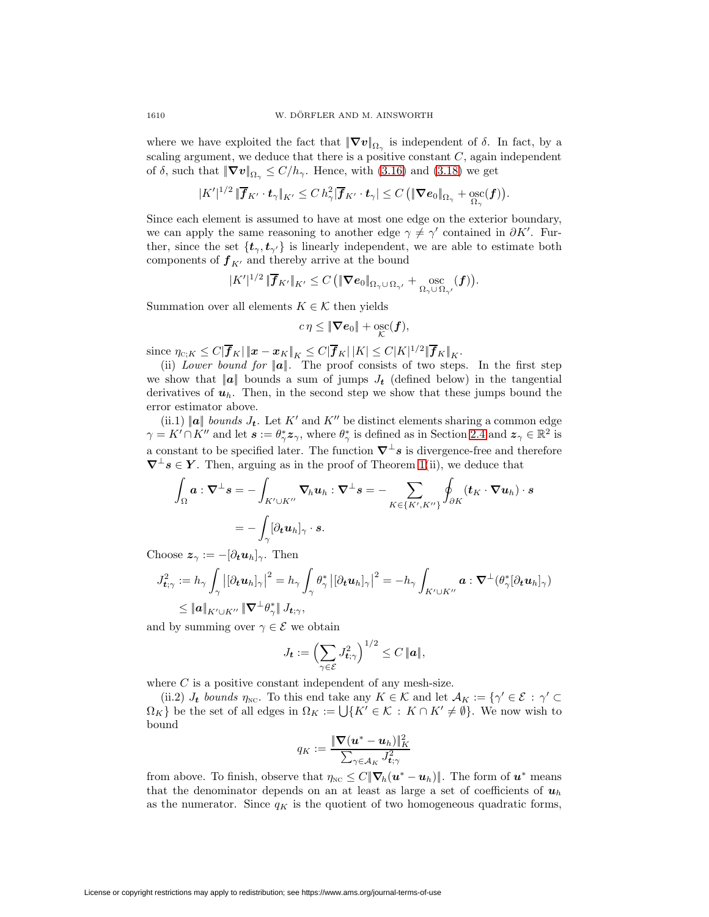where we have exploited the fact that  $|\nabla v|_{\Omega_{\gamma}}$  is independent of  $\delta$ . In fact, by a scaling argument, we deduce that there is a positive constant  $C$ , again independent of  $\delta$ , such that  $|\nabla v|_{\Omega_{\gamma}} \leq C/h_{\gamma}$ . Hence, with [\(3.16\)](#page-10-1) and [\(3.18\)](#page-10-2) we get

$$
|K'|^{1/2}\, \|\overline{\boldsymbol{f}}_{K'}\cdot\boldsymbol{t}_\gamma\|_{K'} \leq C\, h_\gamma^2 |\overline{\boldsymbol{f}}_{K'}\cdot\boldsymbol{t}_\gamma| \leq C\, \big(\|\boldsymbol{\nabla}\boldsymbol{e}_0\|_{\Omega_\gamma} + \operatorname*{osc}_{\Omega_\gamma}(\boldsymbol{f})\big).
$$

Since each element is assumed to have at most one edge on the exterior boundary, we can apply the same reasoning to another edge  $\gamma \neq \gamma'$  contained in  $\partial K'$ . Further, since the set  $\{t_{\gamma}, t_{\gamma'}\}$  is linearly independent, we are able to estimate both components of  $f_{K'}$  and thereby arrive at the bound

$$
|K'|^{1/2} \|\overline{\boldsymbol{f}}_{K'}\|_{K'} \leq C \left( \|\nabla \boldsymbol{e}_0\|_{\Omega_{\gamma} \cup \Omega_{\gamma'}} + \underset{\Omega_{\gamma} \cup \Omega_{\gamma'}}{\mathrm{osc}}(\boldsymbol{f}) \right).
$$

Summation over all elements  $K \in \mathcal{K}$  then yields

$$
c\eta \leq \|\nabla e_0\| + \mathop{\rm osc}_{\mathcal{K}}(f),
$$

 $\text{since } \eta_{C;K} \leq C|\overline{\bm{f}}_K| \, \| \bm{x} - \bm{x}_K \|_K \leq C|\overline{\bm{f}}_K| \, |K| \leq C|K|^{1/2} \|\overline{\bm{f}}_K \|_K.$ 

(ii) Lower bound for  $||a||$ . The proof consists of two steps. In the first step we show that  $||a||$  bounds a sum of jumps  $J_t$  (defined below) in the tangential derivatives of  $u_h$ . Then, in the second step we show that these jumps bound the error estimator above.

(ii.1)  $\|\boldsymbol{a}\|$  bounds  $J_{t}$ . Let K' and K'' be distinct elements sharing a common edge  $\gamma = K' \cap K''$  and let  $s := \theta^*_{\gamma} z_{\gamma}$ , where  $\theta^*_{\gamma}$  is defined as in Section [2.4](#page-5-2) and  $z_{\gamma} \in \mathbb{R}^2$  is a constant to be specified later. The function  $\nabla^{\perp} s$  is divergence-free and therefore  $\nabla^{\perp}$ *s*  $\in$  *Y*. Then, arguing as in the proof of Theorem [1\(](#page-7-3)ii), we deduce that

$$
\int_{\Omega} \boldsymbol{a} : \nabla^{\perp} \boldsymbol{s} = - \int_{K' \cup K''} \nabla_h \boldsymbol{u}_h : \nabla^{\perp} \boldsymbol{s} = - \sum_{K \in \{K', K''\}} \oint_{\partial K} (\boldsymbol{t}_K \cdot \nabla \boldsymbol{u}_h) \cdot \boldsymbol{s} \n= - \int_{\gamma} [\partial_t \boldsymbol{u}_h]_{\gamma} \cdot \boldsymbol{s}.
$$

Choose  $z_\gamma := -[\partial_t u_h]_\gamma$ . Then

$$
J_{\mathbf{t};\gamma}^2 := h_{\gamma} \int_{\gamma} \left| [\partial_{\mathbf{t}} \mathbf{u}_h]_{\gamma} \right|^2 = h_{\gamma} \int_{\gamma} \theta_{\gamma}^* \left| [\partial_{\mathbf{t}} \mathbf{u}_h]_{\gamma} \right|^2 = -h_{\gamma} \int_{K' \cup K''} \mathbf{a} : \nabla^{\perp}(\theta_{\gamma}^* [\partial_{\mathbf{t}} \mathbf{u}_h]_{\gamma})
$$
  
\$\leq \|\mathbf{a}\|\_{K' \cup K''} \|\nabla^{\perp} \theta\_{\gamma}^\* \| J\_{\mathbf{t};\gamma},

and by summing over  $\gamma \in \mathcal{E}$  we obtain

$$
J_{\boldsymbol{t}} := \left(\sum_{\gamma \in \mathcal{E}} J_{\boldsymbol{t}; \gamma}^2\right)^{1/2} \leq C \, \|\boldsymbol{a}\|,
$$

where  $C$  is a positive constant independent of any mesh-size.

(ii.2)  $J_t$  bounds  $\eta_{\text{NC}}$ . To this end take any  $K \in \mathcal{K}$  and let  $\mathcal{A}_K := \{ \gamma' \in \mathcal{E} : \gamma' \subset \mathcal{A} \}$  $\Omega_K$  be the set of all edges in  $\Omega_K := \bigcup \{ K' \in \mathcal{K} : K \cap K' \neq \emptyset \}$ . We now wish to bound

$$
q_K := \frac{\|\boldsymbol{\nabla}(\boldsymbol{u}^* - \boldsymbol{u}_h)\|_K^2}{\sum_{\gamma \in \mathcal{A}_K} J_{\boldsymbol{t};\gamma}^2}
$$

from above. To finish, observe that  $\eta_{\text{NC}} \leq C ||\nabla_h(u^* - u_h)||$ . The form of  $u^*$  means that the denominator depends on an at least as large a set of coefficients of  $u_h$ as the numerator. Since  $q_K$  is the quotient of two homogeneous quadratic forms,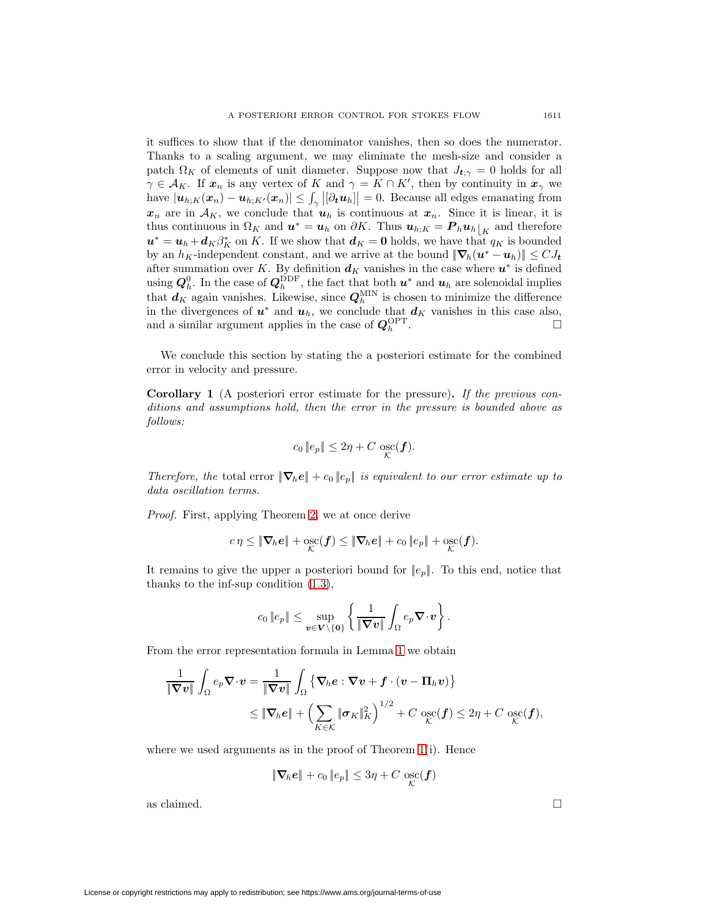it suffices to show that if the denominator vanishes, then so does the numerator. Thanks to a scaling argument, we may eliminate the mesh-size and consider a patch  $\Omega_K$  of elements of unit diameter. Suppose now that  $J_{t;\gamma} = 0$  holds for all  $\gamma \in \mathcal{A}_K$ . If  $\mathbf{x}_n$  is any vertex of K and  $\gamma = K \cap K'$ , then by continuity in  $\mathbf{x}_\gamma$  we have  $|\mathbf{u}_{h,K}(\mathbf{x}_n) - \mathbf{u}_{h,K'}(\mathbf{x}_n)| \leq \int_{\gamma} |[\partial_t \mathbf{u}_h]| = 0$ . Because all edges emanating from  $x_n$  are in  $A_K$ , we conclude that  $u_h$  is continuous at  $x_n$ . Since it is linear, it is thus continuous in  $\Omega_K$  and  $\mathbf{u}^* = \mathbf{u}_h$  on  $\partial K$ . Thus  $\mathbf{u}_{h;K} = \mathbf{P}_h \mathbf{u}_h|_K$  and therefore  $u^* = u_h + d_K \beta_K^*$  on K. If we show that  $d_K = 0$  holds, we have that  $q_K$  is bounded by an  $h_K$ -independent constant, and we arrive at the bound  $|\nabla_h(u^* - u_h)| \leq C J_t$ after summation over K. By definition  $d_K$  vanishes in the case where  $u^*$  is defined using  $Q_h^0$ . In the case of  $Q_h^{\text{DDF}}$ , the fact that both  $u^*$  and  $u_h$  are solenoidal implies that  $d_K$  again vanishes. Likewise, since  $Q_h^{\text{MIN}}$  is chosen to minimize the difference in the divergences of  $u^*$  and  $u_h$ , we conclude that  $d_K$  vanishes in this case also, and a similar argument applies in the case of  $Q_h^{\text{OPT}}$ .

We conclude this section by stating the a posteriori estimate for the combined error in velocity and pressure.

**Corollary 1** (A posteriori error estimate for the pressure)**.** If the previous conditions and assumptions hold, then the error in the pressure is bounded above as follows:

$$
c_0 \|e_p\| \leq 2\eta + C \operatorname*{osc}_{\mathcal{K}}(\boldsymbol{f}).
$$

Therefore, the total error  $|\nabla_h e| + c_0 |e_p|$  is equivalent to our error estimate up to data oscillation terms.

Proof. First, applying Theorem [2,](#page-9-0) we at once derive

$$
c\eta \leq \|\nabla_h e\| + \underset{\mathcal{K}}{\mathrm{osc}}(\boldsymbol{f}) \leq \|\nabla_h e\| + c_0 \|e_p\| + \underset{\mathcal{K}}{\mathrm{osc}}(\boldsymbol{f}).
$$

It remains to give the upper a posteriori bound for  $||e_p||$ . To this end, notice that thanks to the inf-sup condition [\(1.3\)](#page-1-1),

$$
c_0\left\|e_p\right\| \leq \sup_{\boldsymbol{v}\in \boldsymbol{V}\setminus\{\boldsymbol{0}\}}\left\{\frac{1}{\left\|\boldsymbol{\nabla} \boldsymbol{v}\right\|}\int_{\Omega}e_p\boldsymbol{\nabla}\cdot\boldsymbol{v}\right\}.
$$

From the error representation formula in Lemma [1](#page-5-1) we obtain

$$
\frac{1}{\|\nabla v\|} \int_{\Omega} e_p \nabla \cdot v = \frac{1}{\|\nabla v\|} \int_{\Omega} \left\{ \nabla_h e : \nabla v + f \cdot (v - \Pi_h v) \right\} \n\leq \|\nabla_h e\| + \left( \sum_{K \in \mathcal{K}} \|\sigma_K\|_K^2 \right)^{1/2} + C \operatorname*{osc}_{\mathcal{K}}(f) \leq 2\eta + C \operatorname*{osc}_{\mathcal{K}}(f),
$$

where we used arguments as in the proof of Theorem [1\(](#page-7-3)i). Hence

$$
\|\nabla_h e\| + c_0 \|e_p\| \leq 3\eta + C \operatorname*{osc}_{\mathcal{K}}(\boldsymbol{f})
$$

as claimed.  $\Box$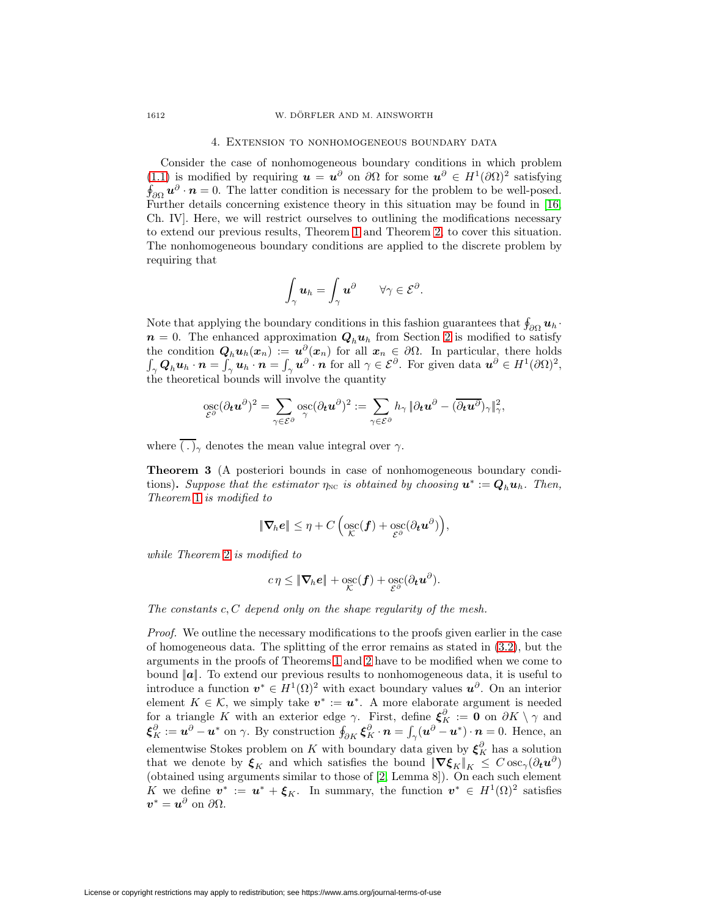#### 4. Extension to nonhomogeneous boundary data

<span id="page-13-0"></span>Consider the case of nonhomogeneous boundary conditions in which problem [\(1.1\)](#page-1-2) is modified by requiring  $u = u^{\partial}$  on  $\partial \Omega$  for some  $u^{\partial} \in H^{1}(\partial \Omega)^{2}$  satisfying  $\oint_{\partial\Omega} u^{\partial} \cdot \mathbf{n} = 0$ . The latter condition is necessary for the problem to be well-posed. Further details concerning existence theory in this situation may be found in [\[16,](#page-20-11) Ch. IV]. Here, we will restrict ourselves to outlining the modifications necessary to extend our previous results, Theorem [1](#page-7-3) and Theorem [2,](#page-9-0) to cover this situation. The nonhomogeneous boundary conditions are applied to the discrete problem by requiring that

$$
\int_{\gamma} \boldsymbol{u}_h = \int_{\gamma} \boldsymbol{u}^{\partial} \qquad \forall \gamma \in \mathcal{E}^{\partial}.
$$

Note that applying the boundary conditions in this fashion guarantees that  $\oint_{\partial\Omega} u_h$ .  $n = 0$ . The enhanced approximation  $Q_h u_h$  from Section [2](#page-2-1) is modified to satisfy the condition  $Q_h u_h(x_n) := u^{\partial}(x_n)$  for all  $x_n \in \partial \Omega$ . In particular, there holds  $\int_{\gamma} Q_h u_h \cdot n = \int_{\gamma} u_h \cdot n = \int_{\gamma} u^{\partial} \cdot n$  for all  $\gamma \in \mathcal{E}^{\partial}$ . For given data  $u^{\partial} \in H^1(\partial \Omega)^2$ , the theoretical bounds will involve the quantity

$$
\mathop{\mathrm{osc}}_{\mathcal{E}^{\partial}}(\partial_{t}u^{\partial})^{2}=\sum_{\gamma \in \mathcal{E}^{\partial}} \mathop{\mathrm{osc}}_{\gamma}(\partial_{t}u^{\partial})^{2}:=\sum_{\gamma \in \mathcal{E}^{\partial}} h_{\gamma} \, \|\partial_{t}u^{\partial}-(\overline{\partial_{t}u^{\partial}})_{\gamma}\|_{\gamma}^{2},
$$

where  $\overline{(.)}$  denotes the mean value integral over  $\gamma$ .

**Theorem 3** (A posteriori bounds in case of nonhomogeneous boundary conditions). Suppose that the estimator  $\eta_{NC}$  is obtained by choosing  $u^* := Q_h u_h$ . Then, Theorem [1](#page-7-3) is modified to

$$
\|\boldsymbol{\nabla}_{\hspace{-1pt}h} e\| \leq \eta + C \left( \operatorname*{osc}_{\mathcal{K}}(\boldsymbol{f}) + \operatorname*{osc}_{\mathcal{E}^{\partial}}(\partial_{\boldsymbol{t}} \boldsymbol{u}^{\partial}) \right),
$$

while Theorem [2](#page-9-0) is modified to

$$
c\eta \leq \|\nabla_h e\| + \mathop{\mathrm{osc}}_{\mathcal{K}}(f) + \mathop{\mathrm{osc}}_{\mathcal{E}^\partial}(\partial_t \boldsymbol{u}^\partial).
$$

The constants  $c, C$  depend only on the shape regularity of the mesh.

Proof. We outline the necessary modifications to the proofs given earlier in the case of homogeneous data. The splitting of the error remains as stated in  $(3.2)$ , but the arguments in the proofs of Theorems [1](#page-7-3) and [2](#page-9-0) have to be modified when we come to bound ||*a*||. To extend our previous results to nonhomogeneous data, it is useful to introduce a function  $v^* \in H^1(\Omega)^2$  with exact boundary values  $u^{\partial}$ . On an interior element  $K \in \mathcal{K}$ , we simply take  $v^* := u^*$ . A more elaborate argument is needed for a triangle K with an exterior edge  $\gamma$ . First, define  $\xi_K^{\partial} := \mathbf{0}$  on  $\partial K \setminus \gamma$  and  $\boldsymbol{\xi}_{K}^{\partial} := \boldsymbol{u}^{\partial} - \boldsymbol{u}^*$  on  $\gamma$ . By construction  $\oint_{\partial K} \boldsymbol{\xi}_{K}^{\partial} \cdot \boldsymbol{n} = \int_{\gamma} (\boldsymbol{u}^{\partial} - \boldsymbol{u}^*) \cdot \boldsymbol{n} = 0$ . Hence, an elementwise Stokes problem on K with boundary data given by  $\xi_K^{\partial}$  has a solution that we denote by  $\xi_K$  and which satisfies the bound  $\|\nabla \xi_K\|_K \leq C \csc_{\gamma}(\partial_t \mathbf{u}^{\partial})$ (obtained using arguments similar to those of [\[2,](#page-19-7) Lemma 8]). On each such element K we define  $v^* := u^* + \xi_K$ . In summary, the function  $v^* \in H^1(\Omega)^2$  satisfies  $v^* = u^{\partial}$  on  $\partial \Omega$ .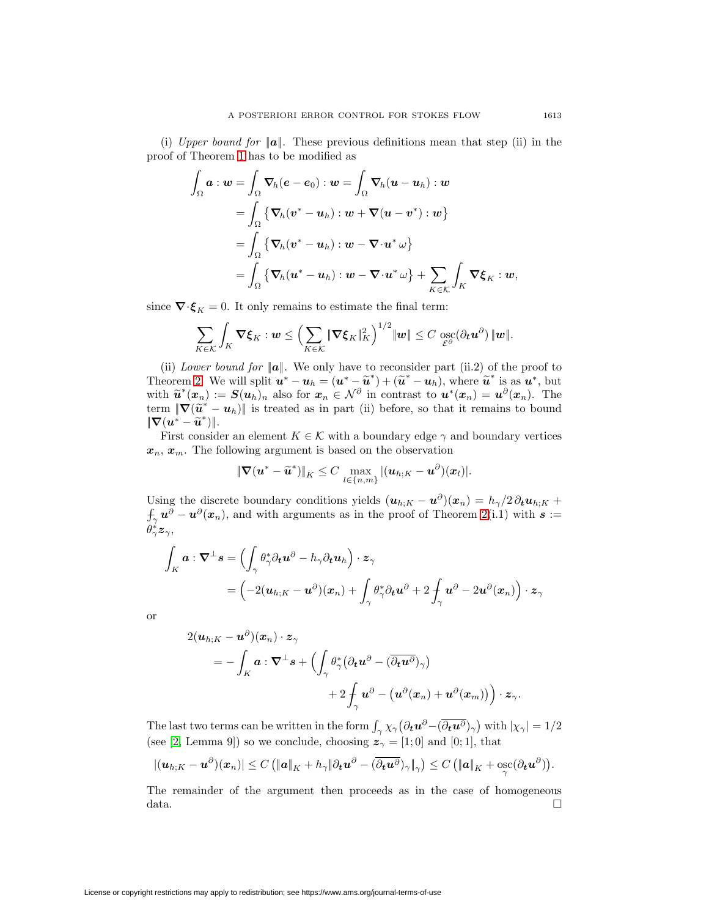(i) Upper bound for  $||a||$ . These previous definitions mean that step (ii) in the proof of Theorem [1](#page-7-3) has to be modified as

$$
\int_{\Omega} \boldsymbol{a} : \boldsymbol{w} = \int_{\Omega} \boldsymbol{\nabla}_h (\boldsymbol{e} - \boldsymbol{e}_0) : \boldsymbol{w} = \int_{\Omega} \boldsymbol{\nabla}_h (\boldsymbol{u} - \boldsymbol{u}_h) : \boldsymbol{w}
$$
\n
$$
= \int_{\Omega} \left\{ \boldsymbol{\nabla}_h (\boldsymbol{v}^* - \boldsymbol{u}_h) : \boldsymbol{w} + \boldsymbol{\nabla} (\boldsymbol{u} - \boldsymbol{v}^*) : \boldsymbol{w} \right\}
$$
\n
$$
= \int_{\Omega} \left\{ \boldsymbol{\nabla}_h (\boldsymbol{v}^* - \boldsymbol{u}_h) : \boldsymbol{w} - \boldsymbol{\nabla} \cdot \boldsymbol{u}^* \, \boldsymbol{\omega} \right\}
$$
\n
$$
= \int_{\Omega} \left\{ \boldsymbol{\nabla}_h (\boldsymbol{u}^* - \boldsymbol{u}_h) : \boldsymbol{w} - \boldsymbol{\nabla} \cdot \boldsymbol{u}^* \, \boldsymbol{\omega} \right\} + \sum_{K \in \mathcal{K}} \int_K \boldsymbol{\nabla} \boldsymbol{\xi}_K : \boldsymbol{w},
$$

since  $\nabla \cdot \boldsymbol{\xi}_K = 0$ . It only remains to estimate the final term:

$$
\sum_{K\in\mathcal{K}}\int_K \boldsymbol{\nabla}\xi_K \cdot \boldsymbol{w} \leq \left(\sum_{K\in\mathcal{K}}\|\boldsymbol{\nabla}\xi_K\|_K^2\right)^{1/2} \|\boldsymbol{w}\| \leq C \operatorname*{osc}_{\mathcal{E}^{\partial}}(\partial_t \boldsymbol{u}^{\partial}) \|\boldsymbol{w}\|.
$$

(ii) Lower bound for  $||a||$ . We only have to reconsider part (ii.2) of the proof to Theorem [2.](#page-9-0) We will split  $\mathbf{u}^* - \mathbf{u}_h = (\mathbf{u}^* - \tilde{\mathbf{u}}^*) + (\tilde{\mathbf{u}}^* - \mathbf{u}_h)$ , where  $\tilde{\mathbf{u}}^*$  is as  $\mathbf{u}^*,$  but with  $\widetilde{u}^*(x_n) := S(u_h)_n$  also for  $x_n \in \mathcal{N}^\partial$  in contrast to  $u^*(x_n) = u^\partial(x_n)$ . The term  $\|\nabla(\tilde{u}^* - u_h)\|$  is treated as in part (ii) before, so that it remains to bound  $\|\nabla(u^* - \widetilde{u}^*)\|.$ 

First consider an element  $K \in \mathcal{K}$  with a boundary edge  $\gamma$  and boundary vertices  $x_n, x_m$ . The following argument is based on the observation

$$
\|\boldsymbol{\nabla}(\boldsymbol{u}^* - \widetilde{\boldsymbol{u}}^*)\|_K \leq C \max_{l \in \{n,m\}} |(\boldsymbol{u}_{h;K} - \boldsymbol{u}^{\partial})(\boldsymbol{x}_l)|.
$$

Using the discrete boundary conditions yields  $(u_{h;K} - u^{\partial})(x_n) = h_{\gamma}/2 \partial_t u_{h;K} +$  $\int_{\gamma} u^{\partial} - u^{\partial}(x_n)$ , and with arguments as in the proof of Theorem [2\(](#page-9-0)i.1) with *s* :=  $\theta^*_\gamma \boldsymbol{z}_\gamma,$ 

$$
\int_K \boldsymbol{a} : \boldsymbol{\nabla}^{\perp} \boldsymbol{s} = \left( \int_{\gamma} \theta_{\gamma}^* \partial_t \boldsymbol{u}^{\partial} - h_{\gamma} \partial_t \boldsymbol{u}_h \right) \cdot \boldsymbol{z}_{\gamma} \n= \left( -2(\boldsymbol{u}_{h;K} - \boldsymbol{u}^{\partial})(\boldsymbol{x}_n) + \int_{\gamma} \theta_{\gamma}^* \partial_t \boldsymbol{u}^{\partial} + 2 \int_{\gamma} \boldsymbol{u}^{\partial} - 2 \boldsymbol{u}^{\partial}(\boldsymbol{x}_n) \right) \cdot \boldsymbol{z}_{\gamma}
$$

or

$$
\begin{aligned} 2 (\boldsymbol{u}_{h;K} - \boldsymbol{u}^{\partial}) (\boldsymbol{x}_n) \cdot \boldsymbol{z}_{\gamma} \\ & = - \int_K \boldsymbol{a} : \boldsymbol{\nabla}^{\perp} \boldsymbol{s} + \Bigl( \int_{\gamma} \theta_{\gamma}^* \bigl( \partial_{t} \boldsymbol{u}^{\partial} - (\overline{\partial_{t} \boldsymbol{u}^{\partial}})_{\gamma} \bigr) \\ & \qquad + 2 \int_{\gamma} \boldsymbol{u}^{\partial} - \bigl( \boldsymbol{u}^{\partial} (\boldsymbol{x}_n) + \boldsymbol{u}^{\partial} (\boldsymbol{x}_m) \bigr) \Bigr) \cdot \boldsymbol{z}_{\gamma}. \end{aligned}
$$

The last two terms can be written in the form  $\int_{\gamma} \chi_{\gamma} (\partial_t \mathbf{u}^{\partial} - (\overline{\partial_t \mathbf{u}^{\partial}})_{\gamma})$  with  $|\chi_{\gamma}| = 1/2$ (see [\[2,](#page-19-7) Lemma 9]) so we conclude, choosing  $z<sub>\gamma</sub> = [1,0]$  and [0; 1], that

$$
|(\boldsymbol{u}_{h;K}-\boldsymbol{u}^{\partial})(\boldsymbol{x}_n)|\leq C\left(\|\boldsymbol{a}\|_K+h_{\gamma}\|\partial_t\boldsymbol{u}^{\partial}-(\overline{\partial_t\boldsymbol{u}^{\partial}})_{\gamma}\|_{\gamma}\right)\leq C\left(\|\boldsymbol{a}\|_K+\operatorname*{osc}_{\gamma}(\partial_t\boldsymbol{u}^{\partial})\right).
$$

The remainder of the argument then proceeds as in the case of homogeneous data.  $\Box$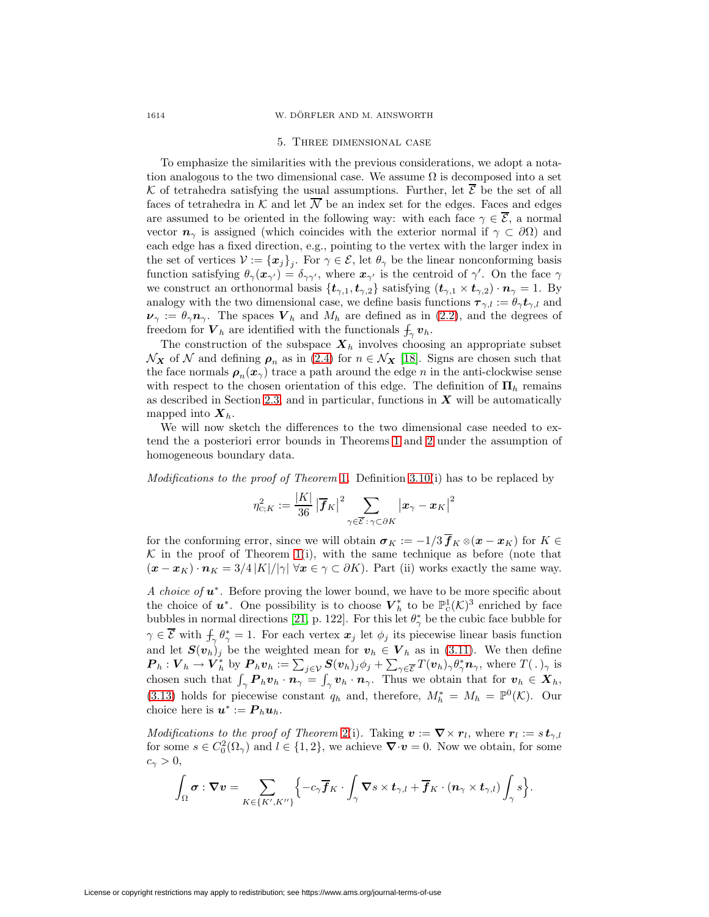#### 1614 W. DÖRFLER AND M. AINSWORTH

#### 5. Three dimensional case

To emphasize the similarities with the previous considerations, we adopt a notation analogous to the two dimensional case. We assume  $\Omega$  is decomposed into a set K of tetrahedra satisfying the usual assumptions. Further, let  $\overline{\mathcal{E}}$  be the set of all faces of tetrahedra in K and let  $\overline{\mathcal{N}}$  be an index set for the edges. Faces and edges are assumed to be oriented in the following way: with each face  $\gamma \in \overline{\mathcal{E}}$ , a normal vector  $n_\gamma$  is assigned (which coincides with the exterior normal if  $\gamma \subset \partial\Omega$ ) and each edge has a fixed direction, e.g., pointing to the vertex with the larger index in the set of vertices  $V := {\{x_j\}_j}$ . For  $\gamma \in \mathcal{E}$ , let  $\theta_{\gamma}$  be the linear nonconforming basis function satisfying  $\theta_{\gamma}(x_{\gamma'}) = \delta_{\gamma\gamma'}$ , where  $x_{\gamma'}$  is the centroid of  $\gamma'$ . On the face  $\gamma$ we construct an orthonormal basis  $\{t_{\gamma,1}, t_{\gamma,2}\}$  satisfying  $(t_{\gamma,1} \times t_{\gamma,2}) \cdot n_{\gamma} = 1$ . By analogy with the two dimensional case, we define basis functions  $\tau_{\gamma,l} := \theta_{\gamma} t_{\gamma,l}$  and  $\nu_{\gamma} := \theta_{\gamma} n_{\gamma}$ . The spaces  $V_h$  and  $M_h$  are defined as in [\(2.2\)](#page-4-3), and the degrees of freedom for  $V_h$  are identified with the functionals  $\int_{\gamma} v_h$ .

The construction of the subspace  $X_h$  involves choosing an appropriate subset  $\mathcal{N}_{\mathbf{X}}$  of  $\mathcal N$  and defining  $\rho_n$  as in [\(2.4\)](#page-4-4) for  $n \in \mathcal{N}_{\mathbf{X}}$  [\[18\]](#page-20-15). Signs are chosen such that the face normals  $\rho_n(x_\gamma)$  trace a path around the edge n in the anti-clockwise sense with respect to the chosen orientation of this edge. The definition of  $\Pi_h$  remains as described in Section [2.3,](#page-4-1) and in particular, functions in *X* will be automatically mapped into  $\mathbf{X}_h$ .

We will now sketch the differences to the two dimensional case needed to extend the a posteriori error bounds in Theorems [1](#page-7-3) and [2](#page-9-0) under the assumption of homogeneous boundary data.

Modifications to the proof of Theorem [1](#page-7-3). Definition [3.10\(](#page-7-1)i) has to be replaced by

$$
\eta_{\text{\tiny C};K}^{2}:=\frac{\left|K\right|}{36}\left|\overline{\boldsymbol{f}}_{K}\right|^{2}\sum_{\gamma\in\overline{\mathcal{E}}:\,\gamma\subset\partial K}\left|\boldsymbol{x}_{\gamma}-\boldsymbol{x}_{K}\right|^{2}
$$

for the conforming error, since we will obtain  $\sigma_K := -1/3 \overline{f}_K \otimes (x - x_K)$  for  $K \in$  $K$  in the proof of Theorem [1\(](#page-7-3)i), with the same technique as before (note that  $(\mathbf{x}-\mathbf{x}_K)\cdot\mathbf{n}_K = 3/4 |K|/|\gamma| \forall \mathbf{x} \in \gamma \subset \partial K$ . Part (ii) works exactly the same way.

A choice of *u*∗. Before proving the lower bound, we have to be more specific about the choice of  $u^*$ . One possibility is to choose  $V_h^*$  to be  $\mathbb{P}^1_{\mathcal{C}}(\mathcal{K})^3$  enriched by face bubbles in normal directions [\[21,](#page-20-16) p. 122]. For this let  $\theta^*_{\gamma}$  be the cubic face bubble for  $\gamma \in \overline{\mathcal{E}}$  with  $\oint_{\gamma} \theta_{\gamma}^* = 1$ . For each vertex  $x_j$  let  $\phi_j$  its piecewise linear basis function and let  $S(v_h)_j$  be the weighted mean for  $v_h \in V_h$  as in [\(3.11\)](#page-8-1). We then define  $\boldsymbol{P}_h : \boldsymbol{V}_h \to \boldsymbol{V}_h^*$  by  $\boldsymbol{P}_h \boldsymbol{v}_h := \sum_{j \in \mathcal{V}} \boldsymbol{S}(\boldsymbol{v}_h)_j \phi_j + \sum_{\gamma \in \overline{\mathcal{E}}} T(\boldsymbol{v}_h)_\gamma \theta_\gamma^* \boldsymbol{n}_\gamma$ , where  $T(.)_\gamma$  is chosen such that  $\int_{\gamma}$  **P**<sub>h</sub>**v**<sub>h</sub> · **n**<sub> $\gamma$ </sub> =  $\int_{\gamma}$ **v**<sub>h</sub> · **n**<sub> $\gamma$ </sub>. Thus we obtain that for  $v_h \in X_h$ , [\(3.13\)](#page-8-2) holds for piecewise constant  $q_h$  and, therefore,  $M_h^* = M_h = \mathbb{P}^0(\mathcal{K})$ . Our choice here is  $u^* := P_h u_h$ .

Modifications to the proof of Theorem [2\(](#page-9-0)i). Taking  $v := \nabla \times r_l$ , where  $r_l := s t_{\gamma,l}$ for some  $s \in C_0^2(\Omega_\gamma)$  and  $l \in \{1,2\}$ , we achieve  $\nabla \cdot \mathbf{v} = 0$ . Now we obtain, for some  $c_{\gamma} > 0$ ,

$$
\int_{\Omega} \sigma : \nabla v = \sum_{K \in \{K',K''\}} \Bigl\{ - c_{\gamma} \overline{f}_K \cdot \int_{\gamma} \nabla s \times t_{\gamma,l} + \overline{f}_K \cdot (n_{\gamma} \times t_{\gamma,l}) \int_{\gamma} s \Bigr\}.
$$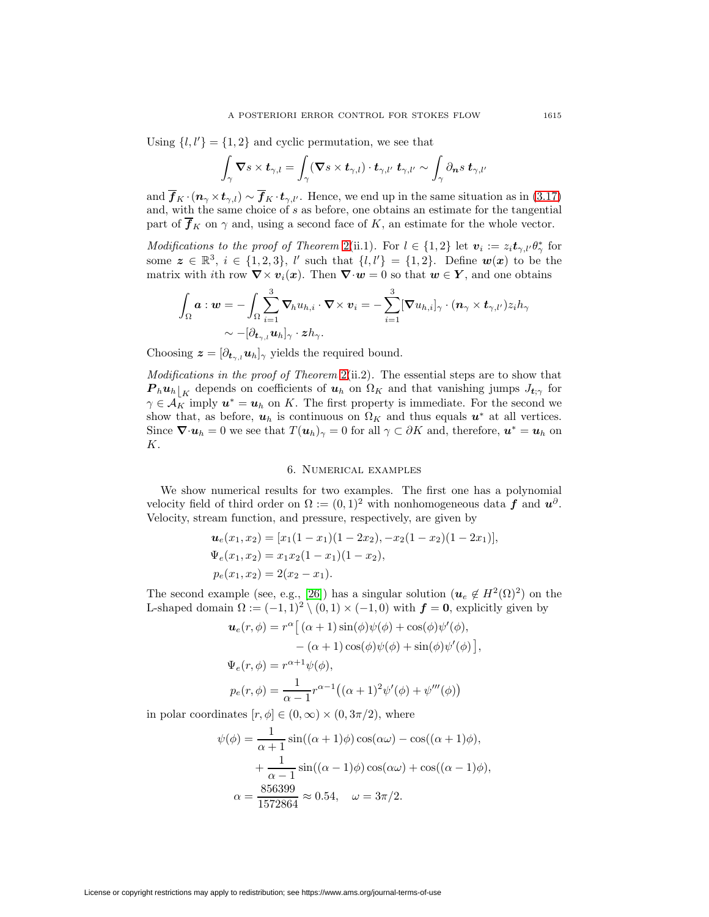Using  $\{l, l'\} = \{1, 2\}$  and cyclic permutation, we see that

$$
\int_{\gamma} \mathbf{\nabla} s \times \boldsymbol{t}_{\gamma,l} = \int_{\gamma} (\mathbf{\nabla} s \times \boldsymbol{t}_{\gamma,l}) \cdot \boldsymbol{t}_{\gamma,l'} \; \boldsymbol{t}_{\gamma,l'} \sim \int_{\gamma} \partial_{\boldsymbol{n}} s \; \boldsymbol{t}_{\gamma,l'}
$$

and  $\overline{f}_K \cdot (n_\gamma \times t_{\gamma,l}) \sim \overline{f}_K \cdot t_{\gamma,l'}$ . Hence, we end up in the same situation as in [\(3.17\)](#page-10-0) and, with the same choice of  $s$  as before, one obtains an estimate for the tangential part of  $\overline{f}_K$  on  $\gamma$  and, using a second face of K, an estimate for the whole vector.

Modifications to the proof of Theorem [2\(](#page-9-0)ii.1). For  $l \in \{1,2\}$  let  $\mathbf{v}_i := z_i \mathbf{t}_{\gamma,l'} \theta_{\gamma}^*$  for some  $z \in \mathbb{R}^3$ ,  $i \in \{1, 2, 3\}$ , l' such that  $\{l, l'\} = \{1, 2\}$ . Define  $w(x)$  to be the matrix with *i*th row  $\nabla \times v_i(x)$ . Then  $\nabla \cdot w = 0$  so that  $w \in Y$ , and one obtains

$$
\int_\Omega \boldsymbol{a} : \boldsymbol{w} = - \int_\Omega \sum_{i=1}^3 \boldsymbol{\nabla}_h u_{h,i} \cdot \boldsymbol{\nabla} \times \boldsymbol{v}_i = - \sum_{i=1}^3 [\boldsymbol{\nabla} u_{h,i}]_\gamma \cdot (\boldsymbol{n}_\gamma \times \boldsymbol{t}_{\gamma,l'}) z_i h_\gamma \\\sim - [\partial_{\boldsymbol{t}_{\gamma,l}} \boldsymbol{u}_h]_\gamma \cdot \boldsymbol{z} h_\gamma.
$$

Choosing  $\mathbf{z} = [\partial_{t_{\gamma,l}} \mathbf{u}_h]_{\gamma}$  yields the required bound.

Modifications in the proof of Theorem [2\(](#page-9-0)ii.2). The essential steps are to show that  $P_h u_h|_K$  depends on coefficients of  $u_h$  on  $\Omega_K$  and that vanishing jumps  $J_{t;\gamma}$  for  $\gamma \in \mathcal{A}_K$  imply  $\mathbf{u}^* = \mathbf{u}_h$  on K. The first property is immediate. For the second we show that, as before,  $u_h$  is continuous on  $\Omega_K$  and thus equals  $u^*$  at all vertices. Since  $\nabla \cdot \mathbf{u}_h = 0$  we see that  $T(\mathbf{u}_h)_{\gamma} = 0$  for all  $\gamma \subset \partial K$  and, therefore,  $\mathbf{u}^* = \mathbf{u}_h$  on K.

## 6. Numerical examples

We show numerical results for two examples. The first one has a polynomial velocity field of third order on  $\Omega := (0,1)^2$  with nonhomogeneous data **f** and  $u^{\partial}$ . Velocity, stream function, and pressure, respectively, are given by

$$
\mathbf{u}_e(x_1, x_2) = [x_1(1-x_1)(1-2x_2), -x_2(1-x_2)(1-2x_1)],
$$
  
\n
$$
\Psi_e(x_1, x_2) = x_1x_2(1-x_1)(1-x_2),
$$
  
\n
$$
p_e(x_1, x_2) = 2(x_2 - x_1).
$$

The second example (see, e.g., [\[26\]](#page-20-8)) has a singular solution  $(\mathbf{u}_e \notin H^2(\Omega)^2)$  on the L-shaped domain  $\Omega := (-1, 1)^2 \setminus (0, 1) \times (-1, 0)$  with  $f = 0$ , explicitly given by

$$
\mathbf{u}_e(r,\phi) = r^{\alpha} \left[ (\alpha + 1) \sin(\phi)\psi(\phi) + \cos(\phi)\psi'(\phi), -(\alpha + 1) \cos(\phi)\psi(\phi) + \sin(\phi)\psi'(\phi) \right],
$$
  

$$
\Psi_e(r,\phi) = r^{\alpha+1}\psi(\phi),
$$
  

$$
p_e(r,\phi) = \frac{1}{\alpha - 1}r^{\alpha-1} \left( (\alpha + 1)^2 \psi'(\phi) + \psi'''(\phi) \right)
$$

in polar coordinates  $[r, \phi] \in (0, \infty) \times (0, 3\pi/2)$ , where

$$
\psi(\phi) = \frac{1}{\alpha + 1} \sin((\alpha + 1)\phi)\cos(\alpha\omega) - \cos((\alpha + 1)\phi),
$$

$$
+ \frac{1}{\alpha - 1} \sin((\alpha - 1)\phi)\cos(\alpha\omega) + \cos((\alpha - 1)\phi),
$$

$$
\alpha = \frac{856399}{1572864} \approx 0.54, \quad \omega = 3\pi/2.
$$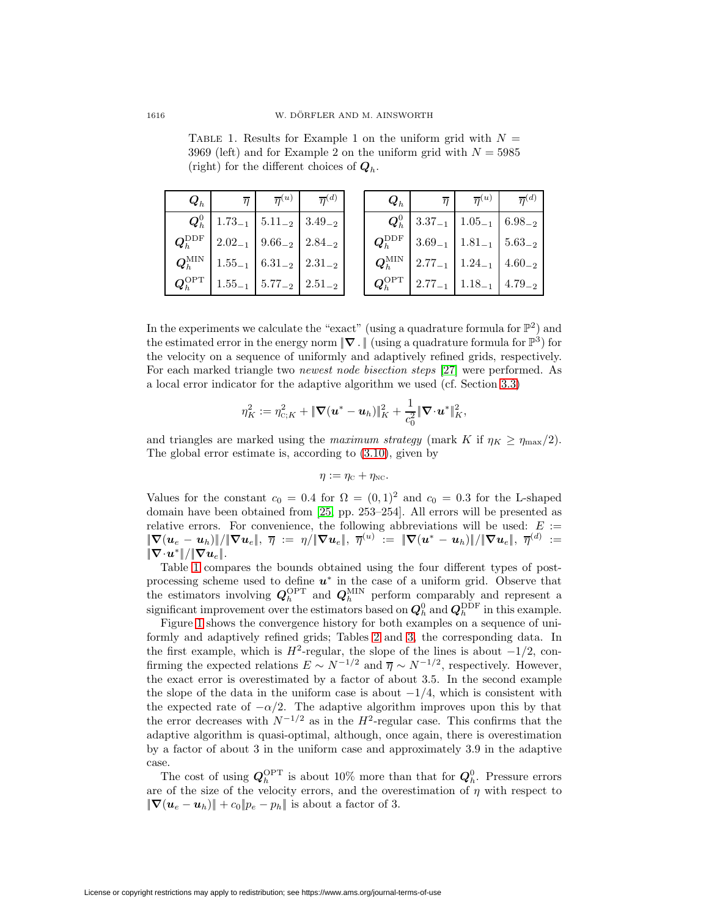$\overline{Q}_h$  |  $\overline{\eta}$  |  $\overline{\eta}^{(u)}$  |  $\overline{\eta}^{(d)}$  $\bm{Q}_h^0$  $1.73_{-1}$  5.11<sub>-2</sub> 3.49<sub>-2</sub>  $\boldsymbol{Q}_h^{\mathrm{DDF}}$  $2.02_{-1}$  9.66<sub>-2</sub> 2.84<sub>-2</sub>  $\boldsymbol{Q}_h^{\text{MIN}}$  $1.55_{-1}$  6.31<sub>-2</sub> 2.31<sub>-2</sub>  $\boldsymbol{Q}_h^{\mathrm{OPT}}$  $1.55_{-1}$  5.77<sub>-2</sub> 2.51<sub>-2</sub>  $\bm{Q}_h$  |  $\overline{\eta}$  |  $\overline{\eta}{}^{(u)}$  |  $\overline{\eta}{}^{(d)}$  $\boldsymbol{Q}_h^0$  $3.37_{-1}$  |  $1.05_{-1}$  | 6.98−2  $\bm{Q}_h^{\mathrm{DDF}}$  $3.69_{-1}$  1.81<sub>-1</sub> 5.63−2  $\boldsymbol{Q}_h^{\text{MIN}}$  $2.77_{-1}$  1.24<sub>-1</sub> 4.60<sub>-2</sub>  $\boldsymbol{Q}_h^{\mathrm{OPT}}$  $2.77_{-1}$  1.18<sub>-1</sub> 4.79−2.79

In the experiments we calculate the "exact" (using a quadrature formula for  $\mathbb{P}^2$ ) and the estimated error in the energy norm  $|\nabla \cdot|$  (using a quadrature formula for  $\mathbb{P}^3$ ) for the velocity on a sequence of uniformly and adaptively refined grids, respectively. For each marked triangle two newest node bisection steps [\[27\]](#page-20-17) were performed. As

a local error indicator for the adaptive algorithm we used (cf. Section 3.3)  

$$
\eta_K^2 := \eta_{c;K}^2 + \|\nabla(\mathbf{u}^* - \mathbf{u}_h)\|_K^2 + \frac{1}{c_0^2} \|\nabla \cdot \mathbf{u}^*\|_K^2,
$$

and triangles are marked using the maximum strategy (mark K if  $\eta_K \geq \eta_{\text{max}}/2$ ). The global error estimate is, according to [\(3.10\)](#page-7-1), given by

$$
\eta := \eta_{\rm C} + \eta_{\rm NC}.
$$

Values for the constant  $c_0 = 0.4$  for  $\Omega = (0, 1)^2$  and  $c_0 = 0.3$  for the L-shaped domain have been obtained from [\[25,](#page-20-14) pp. 253–254]. All errors will be presented as relative errors. For convenience, the following abbreviations will be used:  $E :=$  $\|\nabla(u_e - u_h)\|/\|\nabla u_e\|, \; \overline{\eta} \; \coloneqq \; \eta/\|\nabla u_e\|, \; \overline{\eta}^{(u)} \; \coloneqq \; \|\nabla(u^* - u_h)\|/\|\nabla u_e\|, \; \overline{\eta}^{(d)} \; \coloneqq$  $\|\nabla \!\cdot\! \bm{u}^*\|/\|\nabla \bm{u}_e\|.$ 

Table [1](#page-17-0) compares the bounds obtained using the four different types of postprocessing scheme used to define *u*<sup>∗</sup> in the case of a uniform grid. Observe that the estimators involving  $Q_h^{\text{OPT}}$  and  $Q_h^{\text{MIN}}$  perform comparably and represent a significant improvement over the estimators based on  $Q_h^0$  and  $Q_h^{\text{DDF}}$  in this example.

Figure [1](#page-18-0) shows the convergence history for both examples on a sequence of uniformly and adaptively refined grids; Tables [2](#page-19-9) and [3,](#page-19-10) the corresponding data. In the first example, which is  $H^2$ -regular, the slope of the lines is about  $-1/2$ , confirming the expected relations  $E \sim N^{-1/2}$  and  $\overline{\eta} \sim N^{-1/2}$ , respectively. However, the exact error is overestimated by a factor of about 3.5. In the second example the slope of the data in the uniform case is about  $-1/4$ , which is consistent with the expected rate of  $-\alpha/2$ . The adaptive algorithm improves upon this by that the error decreases with  $N^{-1/2}$  as in the  $H^2$ -regular case. This confirms that the adaptive algorithm is quasi-optimal, although, once again, there is overestimation by a factor of about 3 in the uniform case and approximately 3.9 in the adaptive case.

The cost of using  $Q_h^{\text{OPT}}$  is about 10% more than that for  $Q_h^0$ . Pressure errors are of the size of the velocity errors, and the overestimation of  $\eta$  with respect to  $\|\nabla(\boldsymbol{u}_e - \boldsymbol{u}_h)\| + c_0\|\boldsymbol{p}_e - \boldsymbol{p}_h\|$  is about a factor of 3.

<span id="page-17-0"></span>TABLE 1. Results for Example 1 on the uniform grid with  $N =$ 3969 (left) and for Example 2 on the uniform grid with  $N = 5985$ (right) for the different choices of  $Q_h$ .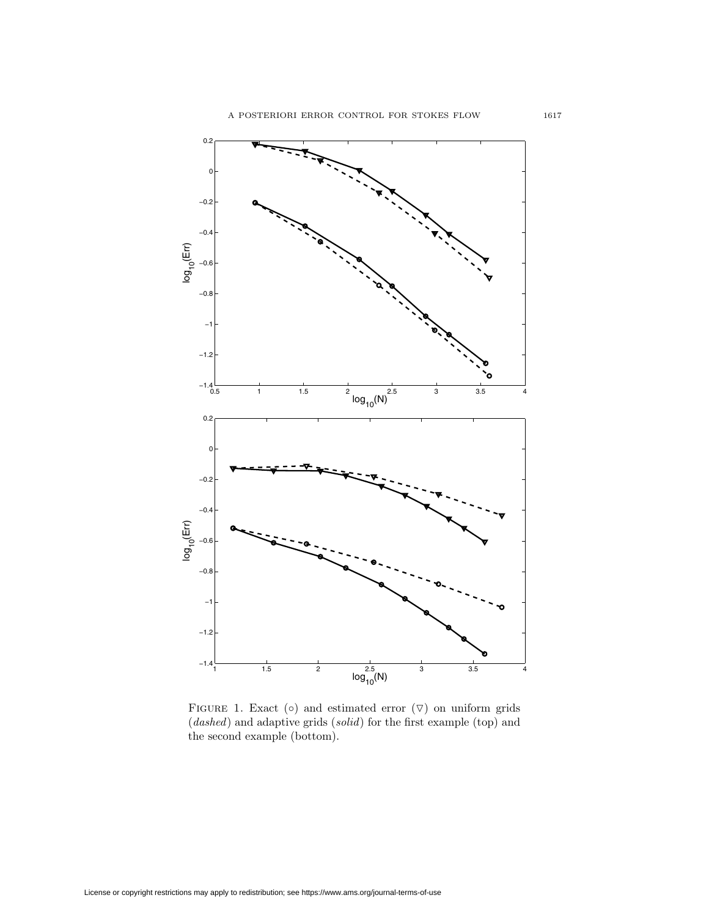

<span id="page-18-0"></span>FIGURE 1. Exact  $(o)$  and estimated error  $(\nabla)$  on uniform grids (dashed) and adaptive grids (solid) for the first example (top) and the second example (bottom).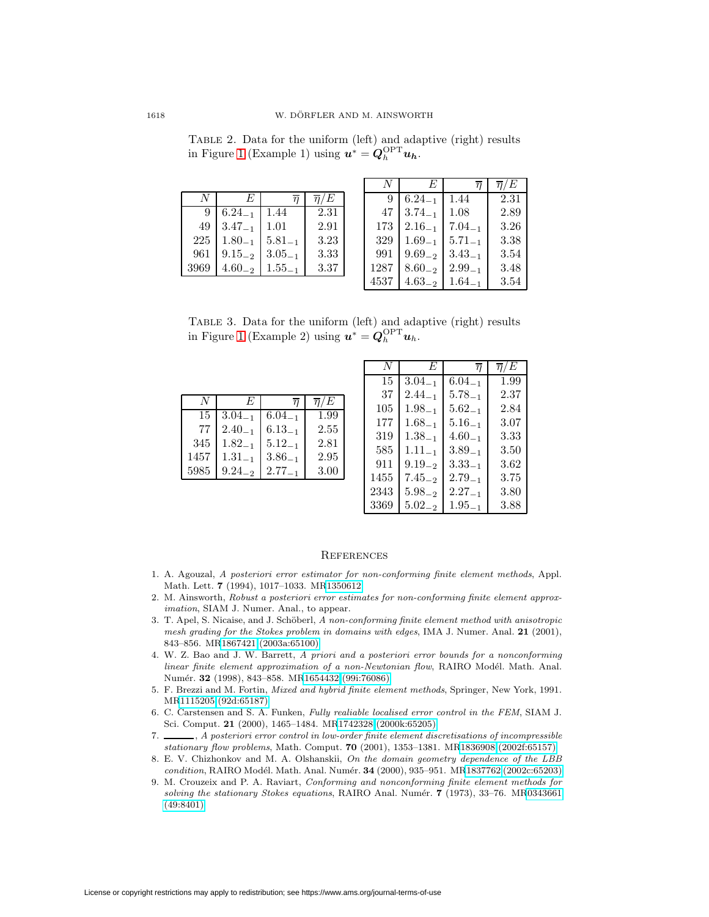<span id="page-19-9"></span>Table 2. Data for the uniform (left) and adaptive (right) results in Figure [1](#page-18-0) (Example 1) using  $u^* = Q_h^{\text{OPT}} u_h$ .

|      | F           |             | $\overline{n}/E$ |
|------|-------------|-------------|------------------|
| 9    | $6.24_{-1}$ | 1.44        | 2.31             |
| 49   | $3.47_{-1}$ | 1.01        | 2.91             |
| 225  | $1.80_{-1}$ | $5.81_{-1}$ | 3.23             |
| 961  | $9.15_{-2}$ | $3.05_{-1}$ | 3.33             |
| 3969 | $4.60_{-2}$ | $1.55_{-1}$ | 3.37             |

|      | E           | п           | $\overline{\eta}/E$ |
|------|-------------|-------------|---------------------|
| 9    | $6.24_{-1}$ | 1.44        | 2.31                |
| 47   | $3.74_{-1}$ | 1.08        | 2.89                |
| 173  | $2.16_{-1}$ | $7.04_{-1}$ | 3.26                |
| 329  | $1.69_{-1}$ | $5.71_{-1}$ | 3.38                |
| 991  | $9.69_{-2}$ | $3.43_{-1}$ | 3.54                |
| 1287 | $8.60_{-2}$ | $2.99_{-1}$ | 3.48                |
| 4537 | $4.63_{-2}$ | $1.64_{-1}$ | 3.54                |

<span id="page-19-10"></span>Table 3. Data for the uniform (left) and adaptive (right) results in Figure [1](#page-18-0) (Example 2) using  $\mathbf{u}^* = \mathbf{Q}_h^{\text{OPT}} \mathbf{u}_h$ .

|      | F           |             | $\overline{n}/E$ |
|------|-------------|-------------|------------------|
| 15   | $3.04_{-1}$ | $6.04_{-1}$ | 1.99             |
| 77   | $2.40_{-1}$ | $6.13_{-1}$ | 2.55             |
| 345  | $1.82_{-1}$ | $5.12_{-1}$ | 2.81             |
| 1457 | $1.31_{-1}$ | $3.86_{-1}$ | 2.95             |
| 5985 | $9.24_{-2}$ | $2.77_{-1}$ | 3.00             |

| N    | E           | $\overline{n}$ | $\overline{\eta}/E$ |
|------|-------------|----------------|---------------------|
| 15   | $3.04_{-1}$ | $6.04_{-1}$    | 1.99                |
| 37   | $2.44_{-1}$ | $5.78_{-1}$    | 2.37                |
| 105  | $1.98 - 1$  | $5.62_{-1}$    | 2.84                |
| 177  | $1.68_{-1}$ | $5.16_{-1}$    | 3.07                |
| 319  | $1.38_{-1}$ | $4.60_{-1}$    | 3.33                |
| 585  | $1.11_{-1}$ | $3.89_{-1}$    | 3.50                |
| 911  | $9.19_{-2}$ | $3.33_{-1}$    | $3.62\,$            |
| 1455 | $7.45_{-2}$ | $2.79_{-1}$    | 3.75                |
| 2343 | $5.98_{-2}$ | $2.27_{-1}$    | 3.80                |
| 3369 | $5.02_{-2}$ | $1.95_{-1}$    | 3.88                |

## **REFERENCES**

- <span id="page-19-4"></span>1. A. Agouzal, A posteriori error estimator for non-conforming finite element methods, Appl. Math. Lett. **7** (1994), 1017–1033. M[R1350612](http://www.ams.org/mathscinet-getitem?mr=1350612)
- <span id="page-19-7"></span>2. M. Ainsworth, Robust a posteriori error estimates for non-conforming finite element approximation, SIAM J. Numer. Anal., to appear.
- <span id="page-19-2"></span>3. T. Apel, S. Nicaise, and J. Schöberl, A non-conforming finite element method with anisotropic mesh grading for the Stokes problem in domains with edges, IMA J. Numer. Anal. **21** (2001), 843–856. M[R1867421 \(2003a:65100\)](http://www.ams.org/mathscinet-getitem?mr=1867421)
- <span id="page-19-3"></span>4. W. Z. Bao and J. W. Barrett, A priori and a posteriori error bounds for a nonconforming  $linear\ finite\ element\ approximation\ of\ a\ non-Newtonian\ flow, \ RAIRO\ Model.$  Math. Anal. Num´er. **32** (1998), 843–858. M[R1654432 \(99i:76086\)](http://www.ams.org/mathscinet-getitem?mr=1654432)
- <span id="page-19-1"></span>5. F. Brezzi and M. Fortin, Mixed and hybrid finite element methods, Springer, New York, 1991. M[R1115205 \(92d:65187\)](http://www.ams.org/mathscinet-getitem?mr=1115205)
- <span id="page-19-6"></span>6. C. Carstensen and S. A. Funken, Fully realiable localised error control in the FEM, SIAM J. Sci. Comput. **21** (2000), 1465–1484. M[R1742328 \(2000k:65205\)](http://www.ams.org/mathscinet-getitem?mr=1742328)
- <span id="page-19-5"></span>7. , A posteriori error control in low-order finite element discretisations of incompressible stationary flow problems, Math. Comput. **70** (2001), 1353–1381. M[R1836908 \(2002f:65157\)](http://www.ams.org/mathscinet-getitem?mr=1836908)
- <span id="page-19-8"></span>8. E. V. Chizhonkov and M. A. Olshanskii, On the domain geometry dependence of the LBB condition, RAIRO Mod´el. Math. Anal. Num´er. **34** (2000), 935–951. M[R1837762 \(2002c:65203\)](http://www.ams.org/mathscinet-getitem?mr=1837762)
- <span id="page-19-0"></span>9. M. Crouzeix and P. A. Raviart, Conforming and nonconforming finite element methods for solving the stationary Stokes equations, RAIRO Anal. Numér. **7** (1973), 33-76. M[R0343661](http://www.ams.org/mathscinet-getitem?mr=0343661) [\(49:8401\)](http://www.ams.org/mathscinet-getitem?mr=0343661)